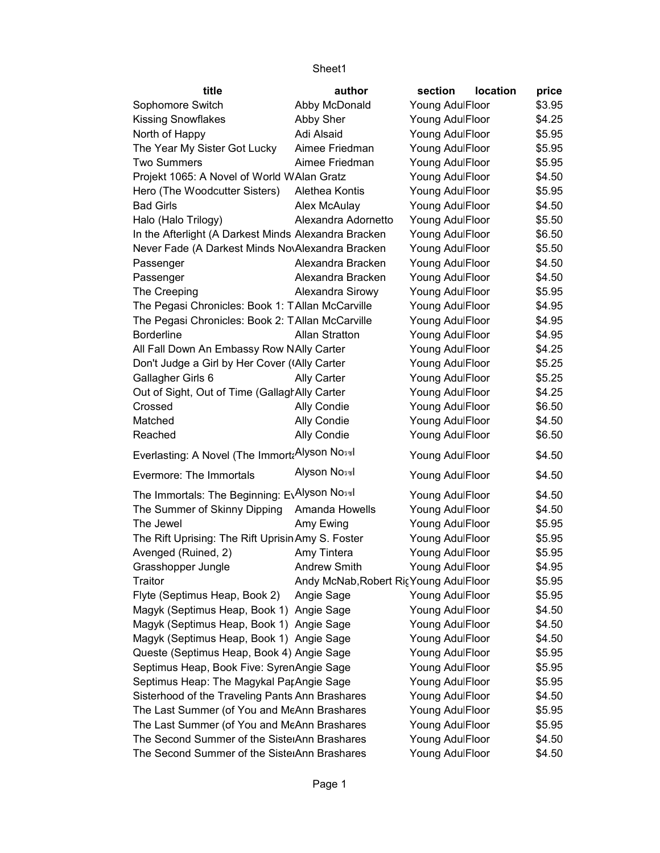| title                                                       | author                                | section         | location | price  |
|-------------------------------------------------------------|---------------------------------------|-----------------|----------|--------|
| Sophomore Switch                                            | Abby McDonald                         | Young AdulFloor |          | \$3.95 |
| <b>Kissing Snowflakes</b>                                   | Abby Sher                             | Young AdulFloor |          | \$4.25 |
| North of Happy                                              | Adi Alsaid                            | Young AdulFloor |          | \$5.95 |
| The Year My Sister Got Lucky                                | Aimee Friedman                        | Young AdulFloor |          | \$5.95 |
| <b>Two Summers</b>                                          | Aimee Friedman                        | Young AdulFloor |          | \$5.95 |
| Projekt 1065: A Novel of World WAlan Gratz                  |                                       | Young AdulFloor |          | \$4.50 |
| Hero (The Woodcutter Sisters)                               | Alethea Kontis                        | Young AdulFloor |          | \$5.95 |
| <b>Bad Girls</b>                                            | Alex McAulay                          | Young AdulFloor |          | \$4.50 |
| Halo (Halo Trilogy)                                         | Alexandra Adornetto                   | Young AdulFloor |          | \$5.50 |
| In the Afterlight (A Darkest Minds Alexandra Bracken        |                                       | Young AdulFloor |          | \$6.50 |
| Never Fade (A Darkest Minds NovAlexandra Bracken            |                                       | Young AdulFloor |          | \$5.50 |
| Passenger                                                   | Alexandra Bracken                     | Young AdulFloor |          | \$4.50 |
| Passenger                                                   | Alexandra Bracken                     | Young AdulFloor |          | \$4.50 |
| The Creeping                                                | Alexandra Sirowy                      | Young AdulFloor |          | \$5.95 |
| The Pegasi Chronicles: Book 1: TAllan McCarville            |                                       | Young AdulFloor |          | \$4.95 |
| The Pegasi Chronicles: Book 2: TAllan McCarville            |                                       | Young AdulFloor |          | \$4.95 |
| <b>Borderline</b>                                           | <b>Allan Stratton</b>                 | Young AdulFloor |          | \$4.95 |
| All Fall Down An Embassy Row NAlly Carter                   |                                       | Young AdulFloor |          | \$4.25 |
| Don't Judge a Girl by Her Cover (Ally Carter                |                                       | Young AdulFloor |          | \$5.25 |
| Gallagher Girls 6                                           | Ally Carter                           | Young AdulFloor |          | \$5.25 |
| Out of Sight, Out of Time (Gallagh Ally Carter              |                                       | Young AdulFloor |          | \$4.25 |
| Crossed                                                     | Ally Condie                           | Young AdulFloor |          | \$6.50 |
| Matched                                                     | Ally Condie                           | Young AdulFloor |          | \$4.50 |
| Reached                                                     | Ally Condie                           | Young AdulFloor |          | \$6.50 |
| Everlasting: A Novel (The Immort; Alyson No <sub>3%</sub> ) |                                       | Young AdulFloor |          | \$4.50 |
| Evermore: The Immortals                                     | Alyson Noswl                          | Young AdulFloor |          | \$4.50 |
| The Immortals: The Beginning: E\Alyson No <sub>3%</sub>     |                                       | Young AdulFloor |          | \$4.50 |
| The Summer of Skinny Dipping                                | Amanda Howells                        | Young AdulFloor |          | \$4.50 |
| The Jewel                                                   | Amy Ewing                             | Young AdulFloor |          | \$5.95 |
| The Rift Uprising: The Rift Uprisin Amy S. Foster           |                                       | Young AdulFloor |          | \$5.95 |
| Avenged (Ruined, 2)                                         | Amy Tintera                           | Young AdulFloor |          | \$5.95 |
| Grasshopper Jungle                                          | Andrew Smith                          | Young AdulFloor |          | \$4.95 |
| Traitor                                                     | Andy McNab, Robert RicYoung AdulFloor |                 |          | \$5.95 |
| Flyte (Septimus Heap, Book 2)                               | Angie Sage                            | Young AdulFloor |          | \$5.95 |
| Magyk (Septimus Heap, Book 1) Angie Sage                    |                                       | Young AdulFloor |          | \$4.50 |
| Magyk (Septimus Heap, Book 1) Angie Sage                    |                                       | Young AdulFloor |          | \$4.50 |
| Magyk (Septimus Heap, Book 1) Angie Sage                    |                                       | Young AdulFloor |          | \$4.50 |
| Queste (Septimus Heap, Book 4) Angie Sage                   |                                       | Young AdulFloor |          | \$5.95 |
| Septimus Heap, Book Five: SyrenAngie Sage                   |                                       | Young AdulFloor |          | \$5.95 |
| Septimus Heap: The Magykal ParAngie Sage                    |                                       | Young AdulFloor |          | \$5.95 |
| Sisterhood of the Traveling Pants Ann Brashares             |                                       | Young AdulFloor |          | \$4.50 |
| The Last Summer (of You and MeAnn Brashares                 |                                       | Young AdulFloor |          | \$5.95 |
| The Last Summer (of You and MeAnn Brashares                 |                                       | Young AdulFloor |          | \$5.95 |
| The Second Summer of the SistelAnn Brashares                |                                       | Young AdulFloor |          | \$4.50 |
| The Second Summer of the SistelAnn Brashares                |                                       | Young AdulFloor |          | \$4.50 |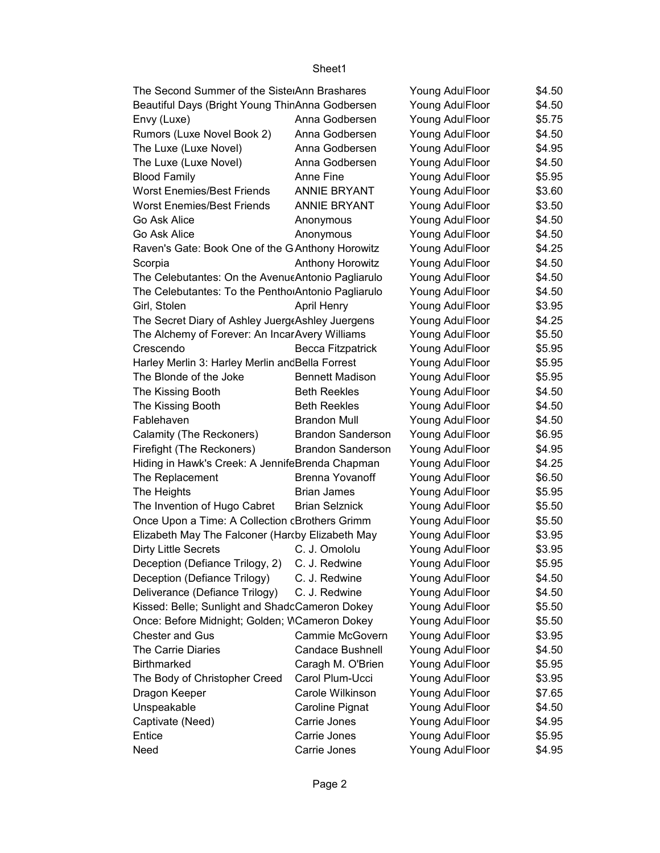| The Second Summer of the SistelAnn Brashares                 |                          | Young AdulFloor | \$4.50 |
|--------------------------------------------------------------|--------------------------|-----------------|--------|
| Beautiful Days (Bright Young ThinAnna Godbersen              |                          | Young AdulFloor | \$4.50 |
| Envy (Luxe)                                                  | Anna Godbersen           | Young AdulFloor | \$5.75 |
| Rumors (Luxe Novel Book 2)                                   | Anna Godbersen           | Young AdulFloor | \$4.50 |
| The Luxe (Luxe Novel)                                        | Anna Godbersen           | Young AdulFloor | \$4.95 |
| The Luxe (Luxe Novel)                                        | Anna Godbersen           | Young AdulFloor | \$4.50 |
| <b>Blood Family</b>                                          | Anne Fine                | Young AdulFloor | \$5.95 |
| <b>Worst Enemies/Best Friends</b>                            | <b>ANNIE BRYANT</b>      | Young AdulFloor | \$3.60 |
| <b>Worst Enemies/Best Friends</b>                            | <b>ANNIE BRYANT</b>      | Young AdulFloor | \$3.50 |
| Go Ask Alice                                                 | Anonymous                | Young AdulFloor | \$4.50 |
| Go Ask Alice                                                 | Anonymous                | Young AdulFloor | \$4.50 |
| Raven's Gate: Book One of the G Anthony Horowitz             |                          | Young AdulFloor | \$4.25 |
| Scorpia                                                      | <b>Anthony Horowitz</b>  | Young AdulFloor | \$4.50 |
| The Celebutantes: On the Avenu $\epsilon$ Antonio Pagliarulo |                          | Young AdulFloor | \$4.50 |
| The Celebutantes: To the Pentho Antonio Pagliarulo           |                          | Young AdulFloor | \$4.50 |
| Girl, Stolen                                                 | <b>April Henry</b>       | Young AdulFloor | \$3.95 |
| The Secret Diary of Ashley Juerg Ashley Juergens             |                          | Young AdulFloor | \$4.25 |
| The Alchemy of Forever: An Incar Avery Williams              |                          | Young AdulFloor | \$5.50 |
| Crescendo                                                    | Becca Fitzpatrick        | Young AdulFloor | \$5.95 |
| Harley Merlin 3: Harley Merlin and Bella Forrest             |                          | Young AdulFloor | \$5.95 |
| The Blonde of the Joke                                       | <b>Bennett Madison</b>   | Young AdulFloor | \$5.95 |
| The Kissing Booth                                            | <b>Beth Reekles</b>      | Young AdulFloor | \$4.50 |
| The Kissing Booth                                            | <b>Beth Reekles</b>      | Young AdulFloor | \$4.50 |
| Fablehaven                                                   | <b>Brandon Mull</b>      | Young AdulFloor | \$4.50 |
| Calamity (The Reckoners)                                     | <b>Brandon Sanderson</b> | Young AdulFloor | \$6.95 |
| Firefight (The Reckoners)                                    | <b>Brandon Sanderson</b> | Young AdulFloor | \$4.95 |
| Hiding in Hawk's Creek: A JennifeBrenda Chapman              |                          | Young AdulFloor | \$4.25 |
| The Replacement                                              | <b>Brenna Yovanoff</b>   | Young AdulFloor | \$6.50 |
| The Heights                                                  | <b>Brian James</b>       | Young AdulFloor | \$5.95 |
| The Invention of Hugo Cabret                                 | <b>Brian Selznick</b>    | Young AdulFloor | \$5.50 |
| Once Upon a Time: A Collection cBrothers Grimm               |                          | Young AdulFloor | \$5.50 |
| Elizabeth May The Falconer (Hardby Elizabeth May             |                          | Young AdulFloor | \$3.95 |
| <b>Dirty Little Secrets</b>                                  | C. J. Omololu            | Young AdulFloor | \$3.95 |
| Deception (Defiance Trilogy, 2) C. J. Redwine                |                          | Young AdulFloor | \$5.95 |
| Deception (Defiance Trilogy)                                 | C. J. Redwine            | Young AdulFloor | \$4.50 |
| Deliverance (Defiance Trilogy)                               | C. J. Redwine            | Young AdulFloor | \$4.50 |
| Kissed: Belle; Sunlight and ShadcCameron Dokey               |                          | Young AdulFloor | \$5.50 |
| Once: Before Midnight; Golden; WCameron Dokey                |                          | Young AdulFloor | \$5.50 |
| <b>Chester and Gus</b>                                       | Cammie McGovern          | Young AdulFloor | \$3.95 |
| The Carrie Diaries                                           | <b>Candace Bushnell</b>  | Young AdulFloor | \$4.50 |
| Birthmarked                                                  | Caragh M. O'Brien        | Young AdulFloor | \$5.95 |
| The Body of Christopher Creed                                | Carol Plum-Ucci          | Young AdulFloor | \$3.95 |
| Dragon Keeper                                                | Carole Wilkinson         | Young AdulFloor | \$7.65 |
| Unspeakable                                                  | Caroline Pignat          | Young AdulFloor | \$4.50 |
| Captivate (Need)                                             | Carrie Jones             | Young AdulFloor | \$4.95 |
| Entice                                                       | Carrie Jones             | Young AdulFloor | \$5.95 |
| Need                                                         | Carrie Jones             | Young AdulFloor | \$4.95 |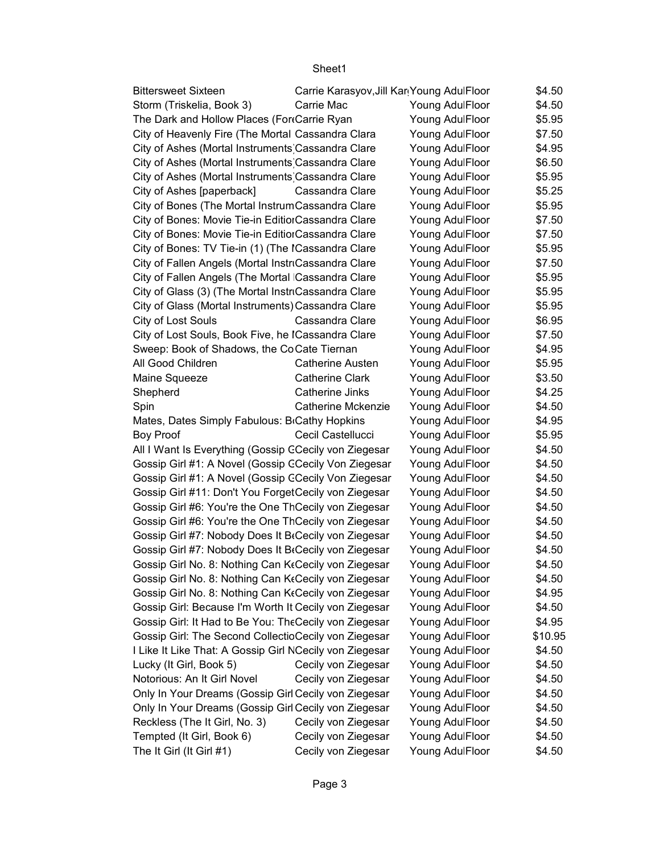| Carrie Mac<br>\$4.50<br>Storm (Triskelia, Book 3)<br>Young AdulFloor<br>The Dark and Hollow Places (FortCarrie Ryan<br>\$5.95<br>Young AdulFloor<br>City of Heavenly Fire (The Mortal Cassandra Clara<br>Young AdulFloor<br>\$7.50<br>City of Ashes (Mortal Instruments Cassandra Clare<br>\$4.95<br>Young AdulFloor<br>City of Ashes (Mortal Instruments Cassandra Clare<br>\$6.50<br>Young AdulFloor<br>City of Ashes (Mortal Instruments Cassandra Clare<br>\$5.95<br>Young AdulFloor<br>City of Ashes [paperback]<br>Cassandra Clare<br>Young AdulFloor<br>\$5.25<br>City of Bones (The Mortal InstrumCassandra Clare<br>Young AdulFloor<br>\$5.95<br>City of Bones: Movie Tie-in EditiorCassandra Clare<br>\$7.50<br>Young AdulFloor<br>City of Bones: Movie Tie-in EditionCassandra Clare<br>Young AdulFloor<br>\$7.50<br>City of Bones: TV Tie-in (1) (The ICassandra Clare<br>\$5.95<br>Young AdulFloor<br>City of Fallen Angels (Mortal InstriCassandra Clare<br>Young AdulFloor<br>\$7.50<br>City of Fallen Angels (The Mortal Cassandra Clare<br>\$5.95<br>Young AdulFloor<br>City of Glass (3) (The Mortal InstriCassandra Clare<br>\$5.95<br>Young AdulFloor<br>\$5.95<br>City of Glass (Mortal Instruments) Cassandra Clare<br>Young AdulFloor<br>City of Lost Souls<br>Young AdulFloor<br>Cassandra Clare<br>\$6.95<br>City of Lost Souls, Book Five, he ICassandra Clare<br>Young AdulFloor<br>\$7.50<br>Sweep: Book of Shadows, the CoCate Tiernan<br>\$4.95<br>Young AdulFloor<br>All Good Children<br>\$5.95<br><b>Catherine Austen</b><br>Young AdulFloor<br>Maine Squeeze<br><b>Catherine Clark</b><br>\$3.50<br>Young AdulFloor<br>Shepherd<br>Catherine Jinks<br>Young AdulFloor<br>\$4.25<br>\$4.50<br>Spin<br>Catherine Mckenzie<br>Young AdulFloor<br>\$4.95<br>Mates, Dates Simply Fabulous: B Cathy Hopkins<br>Young AdulFloor<br>\$5.95<br><b>Boy Proof</b><br>Cecil Castellucci<br>Young AdulFloor<br>All I Want Is Everything (Gossip CCecily von Ziegesar<br>Young AdulFloor<br>\$4.50<br>Gossip Girl #1: A Novel (Gossip CCecily Von Ziegesar<br>Young AdulFloor<br>\$4.50<br>Gossip Girl #1: A Novel (Gossip CCecily Von Ziegesar<br>\$4.50<br>Young AdulFloor<br>Gossip Girl #11: Don't You ForgetCecily von Ziegesar<br>\$4.50<br>Young AdulFloor<br>Gossip Girl #6: You're the One ThCecily von Ziegesar<br>\$4.50<br>Young AdulFloor<br>Gossip Girl #6: You're the One ThCecily von Ziegesar<br>Young AdulFloor<br>\$4.50<br>Gossip Girl #7: Nobody Does It BrCecily von Ziegesar<br>Young AdulFloor<br>\$4.50<br>Gossip Girl #7: Nobody Does It BrCecily von Ziegesar<br>Young AdulFloor<br>\$4.50<br>Gossip Girl No. 8: Nothing Can K Cecily von Ziegesar<br>\$4.50<br>Young AdulFloor<br>Gossip Girl No. 8: Nothing Can KtCecily von Ziegesar<br>\$4.50<br>Young AdulFloor<br>Gossip Girl No. 8: Nothing Can KtCecily von Ziegesar<br>Young AdulFloor<br>\$4.95<br>Gossip Girl: Because I'm Worth It Cecily von Ziegesar<br>Young AdulFloor<br>\$4.50<br>Gossip Girl: It Had to Be You: The Cecily von Ziegesar<br>Young AdulFloor<br>\$4.95<br>Gossip Girl: The Second CollectioCecily von Ziegesar<br>Young AdulFloor<br>\$10.95<br>I Like It Like That: A Gossip Girl NCecily von Ziegesar<br>Young AdulFloor<br>\$4.50<br>Lucky (It Girl, Book 5)<br>Cecily von Ziegesar<br>Young AdulFloor<br>\$4.50<br>Notorious: An It Girl Novel<br>Cecily von Ziegesar<br>Young AdulFloor<br>\$4.50<br>Only In Your Dreams (Gossip Girl Cecily von Ziegesar<br>Young AdulFloor<br>\$4.50<br>Only In Your Dreams (Gossip Girl Cecily von Ziegesar<br>Young AdulFloor<br>\$4.50<br>Reckless (The It Girl, No. 3)<br>Cecily von Ziegesar<br>Young AdulFloor<br>\$4.50<br>Tempted (It Girl, Book 6)<br>Cecily von Ziegesar<br>Young AdulFloor<br>\$4.50<br>Young AdulFloor | <b>Bittersweet Sixteen</b> | Carrie Karasyov, Jill Kar Young AdulFloor |  | \$4.50 |
|----------------------------------------------------------------------------------------------------------------------------------------------------------------------------------------------------------------------------------------------------------------------------------------------------------------------------------------------------------------------------------------------------------------------------------------------------------------------------------------------------------------------------------------------------------------------------------------------------------------------------------------------------------------------------------------------------------------------------------------------------------------------------------------------------------------------------------------------------------------------------------------------------------------------------------------------------------------------------------------------------------------------------------------------------------------------------------------------------------------------------------------------------------------------------------------------------------------------------------------------------------------------------------------------------------------------------------------------------------------------------------------------------------------------------------------------------------------------------------------------------------------------------------------------------------------------------------------------------------------------------------------------------------------------------------------------------------------------------------------------------------------------------------------------------------------------------------------------------------------------------------------------------------------------------------------------------------------------------------------------------------------------------------------------------------------------------------------------------------------------------------------------------------------------------------------------------------------------------------------------------------------------------------------------------------------------------------------------------------------------------------------------------------------------------------------------------------------------------------------------------------------------------------------------------------------------------------------------------------------------------------------------------------------------------------------------------------------------------------------------------------------------------------------------------------------------------------------------------------------------------------------------------------------------------------------------------------------------------------------------------------------------------------------------------------------------------------------------------------------------------------------------------------------------------------------------------------------------------------------------------------------------------------------------------------------------------------------------------------------------------------------------------------------------------------------------------------------------------------------------------------------------------------------------------------------------------------------------------------------------------------------------------------------------------------------------------------------------------------------------------------------------------------------------------------|----------------------------|-------------------------------------------|--|--------|
|                                                                                                                                                                                                                                                                                                                                                                                                                                                                                                                                                                                                                                                                                                                                                                                                                                                                                                                                                                                                                                                                                                                                                                                                                                                                                                                                                                                                                                                                                                                                                                                                                                                                                                                                                                                                                                                                                                                                                                                                                                                                                                                                                                                                                                                                                                                                                                                                                                                                                                                                                                                                                                                                                                                                                                                                                                                                                                                                                                                                                                                                                                                                                                                                                                                                                                                                                                                                                                                                                                                                                                                                                                                                                                                                                                                                          |                            |                                           |  |        |
|                                                                                                                                                                                                                                                                                                                                                                                                                                                                                                                                                                                                                                                                                                                                                                                                                                                                                                                                                                                                                                                                                                                                                                                                                                                                                                                                                                                                                                                                                                                                                                                                                                                                                                                                                                                                                                                                                                                                                                                                                                                                                                                                                                                                                                                                                                                                                                                                                                                                                                                                                                                                                                                                                                                                                                                                                                                                                                                                                                                                                                                                                                                                                                                                                                                                                                                                                                                                                                                                                                                                                                                                                                                                                                                                                                                                          |                            |                                           |  |        |
|                                                                                                                                                                                                                                                                                                                                                                                                                                                                                                                                                                                                                                                                                                                                                                                                                                                                                                                                                                                                                                                                                                                                                                                                                                                                                                                                                                                                                                                                                                                                                                                                                                                                                                                                                                                                                                                                                                                                                                                                                                                                                                                                                                                                                                                                                                                                                                                                                                                                                                                                                                                                                                                                                                                                                                                                                                                                                                                                                                                                                                                                                                                                                                                                                                                                                                                                                                                                                                                                                                                                                                                                                                                                                                                                                                                                          |                            |                                           |  |        |
|                                                                                                                                                                                                                                                                                                                                                                                                                                                                                                                                                                                                                                                                                                                                                                                                                                                                                                                                                                                                                                                                                                                                                                                                                                                                                                                                                                                                                                                                                                                                                                                                                                                                                                                                                                                                                                                                                                                                                                                                                                                                                                                                                                                                                                                                                                                                                                                                                                                                                                                                                                                                                                                                                                                                                                                                                                                                                                                                                                                                                                                                                                                                                                                                                                                                                                                                                                                                                                                                                                                                                                                                                                                                                                                                                                                                          |                            |                                           |  |        |
|                                                                                                                                                                                                                                                                                                                                                                                                                                                                                                                                                                                                                                                                                                                                                                                                                                                                                                                                                                                                                                                                                                                                                                                                                                                                                                                                                                                                                                                                                                                                                                                                                                                                                                                                                                                                                                                                                                                                                                                                                                                                                                                                                                                                                                                                                                                                                                                                                                                                                                                                                                                                                                                                                                                                                                                                                                                                                                                                                                                                                                                                                                                                                                                                                                                                                                                                                                                                                                                                                                                                                                                                                                                                                                                                                                                                          |                            |                                           |  |        |
|                                                                                                                                                                                                                                                                                                                                                                                                                                                                                                                                                                                                                                                                                                                                                                                                                                                                                                                                                                                                                                                                                                                                                                                                                                                                                                                                                                                                                                                                                                                                                                                                                                                                                                                                                                                                                                                                                                                                                                                                                                                                                                                                                                                                                                                                                                                                                                                                                                                                                                                                                                                                                                                                                                                                                                                                                                                                                                                                                                                                                                                                                                                                                                                                                                                                                                                                                                                                                                                                                                                                                                                                                                                                                                                                                                                                          |                            |                                           |  |        |
|                                                                                                                                                                                                                                                                                                                                                                                                                                                                                                                                                                                                                                                                                                                                                                                                                                                                                                                                                                                                                                                                                                                                                                                                                                                                                                                                                                                                                                                                                                                                                                                                                                                                                                                                                                                                                                                                                                                                                                                                                                                                                                                                                                                                                                                                                                                                                                                                                                                                                                                                                                                                                                                                                                                                                                                                                                                                                                                                                                                                                                                                                                                                                                                                                                                                                                                                                                                                                                                                                                                                                                                                                                                                                                                                                                                                          |                            |                                           |  |        |
|                                                                                                                                                                                                                                                                                                                                                                                                                                                                                                                                                                                                                                                                                                                                                                                                                                                                                                                                                                                                                                                                                                                                                                                                                                                                                                                                                                                                                                                                                                                                                                                                                                                                                                                                                                                                                                                                                                                                                                                                                                                                                                                                                                                                                                                                                                                                                                                                                                                                                                                                                                                                                                                                                                                                                                                                                                                                                                                                                                                                                                                                                                                                                                                                                                                                                                                                                                                                                                                                                                                                                                                                                                                                                                                                                                                                          |                            |                                           |  |        |
|                                                                                                                                                                                                                                                                                                                                                                                                                                                                                                                                                                                                                                                                                                                                                                                                                                                                                                                                                                                                                                                                                                                                                                                                                                                                                                                                                                                                                                                                                                                                                                                                                                                                                                                                                                                                                                                                                                                                                                                                                                                                                                                                                                                                                                                                                                                                                                                                                                                                                                                                                                                                                                                                                                                                                                                                                                                                                                                                                                                                                                                                                                                                                                                                                                                                                                                                                                                                                                                                                                                                                                                                                                                                                                                                                                                                          |                            |                                           |  |        |
|                                                                                                                                                                                                                                                                                                                                                                                                                                                                                                                                                                                                                                                                                                                                                                                                                                                                                                                                                                                                                                                                                                                                                                                                                                                                                                                                                                                                                                                                                                                                                                                                                                                                                                                                                                                                                                                                                                                                                                                                                                                                                                                                                                                                                                                                                                                                                                                                                                                                                                                                                                                                                                                                                                                                                                                                                                                                                                                                                                                                                                                                                                                                                                                                                                                                                                                                                                                                                                                                                                                                                                                                                                                                                                                                                                                                          |                            |                                           |  |        |
|                                                                                                                                                                                                                                                                                                                                                                                                                                                                                                                                                                                                                                                                                                                                                                                                                                                                                                                                                                                                                                                                                                                                                                                                                                                                                                                                                                                                                                                                                                                                                                                                                                                                                                                                                                                                                                                                                                                                                                                                                                                                                                                                                                                                                                                                                                                                                                                                                                                                                                                                                                                                                                                                                                                                                                                                                                                                                                                                                                                                                                                                                                                                                                                                                                                                                                                                                                                                                                                                                                                                                                                                                                                                                                                                                                                                          |                            |                                           |  |        |
|                                                                                                                                                                                                                                                                                                                                                                                                                                                                                                                                                                                                                                                                                                                                                                                                                                                                                                                                                                                                                                                                                                                                                                                                                                                                                                                                                                                                                                                                                                                                                                                                                                                                                                                                                                                                                                                                                                                                                                                                                                                                                                                                                                                                                                                                                                                                                                                                                                                                                                                                                                                                                                                                                                                                                                                                                                                                                                                                                                                                                                                                                                                                                                                                                                                                                                                                                                                                                                                                                                                                                                                                                                                                                                                                                                                                          |                            |                                           |  |        |
|                                                                                                                                                                                                                                                                                                                                                                                                                                                                                                                                                                                                                                                                                                                                                                                                                                                                                                                                                                                                                                                                                                                                                                                                                                                                                                                                                                                                                                                                                                                                                                                                                                                                                                                                                                                                                                                                                                                                                                                                                                                                                                                                                                                                                                                                                                                                                                                                                                                                                                                                                                                                                                                                                                                                                                                                                                                                                                                                                                                                                                                                                                                                                                                                                                                                                                                                                                                                                                                                                                                                                                                                                                                                                                                                                                                                          |                            |                                           |  |        |
|                                                                                                                                                                                                                                                                                                                                                                                                                                                                                                                                                                                                                                                                                                                                                                                                                                                                                                                                                                                                                                                                                                                                                                                                                                                                                                                                                                                                                                                                                                                                                                                                                                                                                                                                                                                                                                                                                                                                                                                                                                                                                                                                                                                                                                                                                                                                                                                                                                                                                                                                                                                                                                                                                                                                                                                                                                                                                                                                                                                                                                                                                                                                                                                                                                                                                                                                                                                                                                                                                                                                                                                                                                                                                                                                                                                                          |                            |                                           |  |        |
|                                                                                                                                                                                                                                                                                                                                                                                                                                                                                                                                                                                                                                                                                                                                                                                                                                                                                                                                                                                                                                                                                                                                                                                                                                                                                                                                                                                                                                                                                                                                                                                                                                                                                                                                                                                                                                                                                                                                                                                                                                                                                                                                                                                                                                                                                                                                                                                                                                                                                                                                                                                                                                                                                                                                                                                                                                                                                                                                                                                                                                                                                                                                                                                                                                                                                                                                                                                                                                                                                                                                                                                                                                                                                                                                                                                                          |                            |                                           |  |        |
|                                                                                                                                                                                                                                                                                                                                                                                                                                                                                                                                                                                                                                                                                                                                                                                                                                                                                                                                                                                                                                                                                                                                                                                                                                                                                                                                                                                                                                                                                                                                                                                                                                                                                                                                                                                                                                                                                                                                                                                                                                                                                                                                                                                                                                                                                                                                                                                                                                                                                                                                                                                                                                                                                                                                                                                                                                                                                                                                                                                                                                                                                                                                                                                                                                                                                                                                                                                                                                                                                                                                                                                                                                                                                                                                                                                                          |                            |                                           |  |        |
|                                                                                                                                                                                                                                                                                                                                                                                                                                                                                                                                                                                                                                                                                                                                                                                                                                                                                                                                                                                                                                                                                                                                                                                                                                                                                                                                                                                                                                                                                                                                                                                                                                                                                                                                                                                                                                                                                                                                                                                                                                                                                                                                                                                                                                                                                                                                                                                                                                                                                                                                                                                                                                                                                                                                                                                                                                                                                                                                                                                                                                                                                                                                                                                                                                                                                                                                                                                                                                                                                                                                                                                                                                                                                                                                                                                                          |                            |                                           |  |        |
|                                                                                                                                                                                                                                                                                                                                                                                                                                                                                                                                                                                                                                                                                                                                                                                                                                                                                                                                                                                                                                                                                                                                                                                                                                                                                                                                                                                                                                                                                                                                                                                                                                                                                                                                                                                                                                                                                                                                                                                                                                                                                                                                                                                                                                                                                                                                                                                                                                                                                                                                                                                                                                                                                                                                                                                                                                                                                                                                                                                                                                                                                                                                                                                                                                                                                                                                                                                                                                                                                                                                                                                                                                                                                                                                                                                                          |                            |                                           |  |        |
|                                                                                                                                                                                                                                                                                                                                                                                                                                                                                                                                                                                                                                                                                                                                                                                                                                                                                                                                                                                                                                                                                                                                                                                                                                                                                                                                                                                                                                                                                                                                                                                                                                                                                                                                                                                                                                                                                                                                                                                                                                                                                                                                                                                                                                                                                                                                                                                                                                                                                                                                                                                                                                                                                                                                                                                                                                                                                                                                                                                                                                                                                                                                                                                                                                                                                                                                                                                                                                                                                                                                                                                                                                                                                                                                                                                                          |                            |                                           |  |        |
|                                                                                                                                                                                                                                                                                                                                                                                                                                                                                                                                                                                                                                                                                                                                                                                                                                                                                                                                                                                                                                                                                                                                                                                                                                                                                                                                                                                                                                                                                                                                                                                                                                                                                                                                                                                                                                                                                                                                                                                                                                                                                                                                                                                                                                                                                                                                                                                                                                                                                                                                                                                                                                                                                                                                                                                                                                                                                                                                                                                                                                                                                                                                                                                                                                                                                                                                                                                                                                                                                                                                                                                                                                                                                                                                                                                                          |                            |                                           |  |        |
|                                                                                                                                                                                                                                                                                                                                                                                                                                                                                                                                                                                                                                                                                                                                                                                                                                                                                                                                                                                                                                                                                                                                                                                                                                                                                                                                                                                                                                                                                                                                                                                                                                                                                                                                                                                                                                                                                                                                                                                                                                                                                                                                                                                                                                                                                                                                                                                                                                                                                                                                                                                                                                                                                                                                                                                                                                                                                                                                                                                                                                                                                                                                                                                                                                                                                                                                                                                                                                                                                                                                                                                                                                                                                                                                                                                                          |                            |                                           |  |        |
|                                                                                                                                                                                                                                                                                                                                                                                                                                                                                                                                                                                                                                                                                                                                                                                                                                                                                                                                                                                                                                                                                                                                                                                                                                                                                                                                                                                                                                                                                                                                                                                                                                                                                                                                                                                                                                                                                                                                                                                                                                                                                                                                                                                                                                                                                                                                                                                                                                                                                                                                                                                                                                                                                                                                                                                                                                                                                                                                                                                                                                                                                                                                                                                                                                                                                                                                                                                                                                                                                                                                                                                                                                                                                                                                                                                                          |                            |                                           |  |        |
|                                                                                                                                                                                                                                                                                                                                                                                                                                                                                                                                                                                                                                                                                                                                                                                                                                                                                                                                                                                                                                                                                                                                                                                                                                                                                                                                                                                                                                                                                                                                                                                                                                                                                                                                                                                                                                                                                                                                                                                                                                                                                                                                                                                                                                                                                                                                                                                                                                                                                                                                                                                                                                                                                                                                                                                                                                                                                                                                                                                                                                                                                                                                                                                                                                                                                                                                                                                                                                                                                                                                                                                                                                                                                                                                                                                                          |                            |                                           |  |        |
|                                                                                                                                                                                                                                                                                                                                                                                                                                                                                                                                                                                                                                                                                                                                                                                                                                                                                                                                                                                                                                                                                                                                                                                                                                                                                                                                                                                                                                                                                                                                                                                                                                                                                                                                                                                                                                                                                                                                                                                                                                                                                                                                                                                                                                                                                                                                                                                                                                                                                                                                                                                                                                                                                                                                                                                                                                                                                                                                                                                                                                                                                                                                                                                                                                                                                                                                                                                                                                                                                                                                                                                                                                                                                                                                                                                                          |                            |                                           |  |        |
|                                                                                                                                                                                                                                                                                                                                                                                                                                                                                                                                                                                                                                                                                                                                                                                                                                                                                                                                                                                                                                                                                                                                                                                                                                                                                                                                                                                                                                                                                                                                                                                                                                                                                                                                                                                                                                                                                                                                                                                                                                                                                                                                                                                                                                                                                                                                                                                                                                                                                                                                                                                                                                                                                                                                                                                                                                                                                                                                                                                                                                                                                                                                                                                                                                                                                                                                                                                                                                                                                                                                                                                                                                                                                                                                                                                                          |                            |                                           |  |        |
|                                                                                                                                                                                                                                                                                                                                                                                                                                                                                                                                                                                                                                                                                                                                                                                                                                                                                                                                                                                                                                                                                                                                                                                                                                                                                                                                                                                                                                                                                                                                                                                                                                                                                                                                                                                                                                                                                                                                                                                                                                                                                                                                                                                                                                                                                                                                                                                                                                                                                                                                                                                                                                                                                                                                                                                                                                                                                                                                                                                                                                                                                                                                                                                                                                                                                                                                                                                                                                                                                                                                                                                                                                                                                                                                                                                                          |                            |                                           |  |        |
|                                                                                                                                                                                                                                                                                                                                                                                                                                                                                                                                                                                                                                                                                                                                                                                                                                                                                                                                                                                                                                                                                                                                                                                                                                                                                                                                                                                                                                                                                                                                                                                                                                                                                                                                                                                                                                                                                                                                                                                                                                                                                                                                                                                                                                                                                                                                                                                                                                                                                                                                                                                                                                                                                                                                                                                                                                                                                                                                                                                                                                                                                                                                                                                                                                                                                                                                                                                                                                                                                                                                                                                                                                                                                                                                                                                                          |                            |                                           |  |        |
|                                                                                                                                                                                                                                                                                                                                                                                                                                                                                                                                                                                                                                                                                                                                                                                                                                                                                                                                                                                                                                                                                                                                                                                                                                                                                                                                                                                                                                                                                                                                                                                                                                                                                                                                                                                                                                                                                                                                                                                                                                                                                                                                                                                                                                                                                                                                                                                                                                                                                                                                                                                                                                                                                                                                                                                                                                                                                                                                                                                                                                                                                                                                                                                                                                                                                                                                                                                                                                                                                                                                                                                                                                                                                                                                                                                                          |                            |                                           |  |        |
|                                                                                                                                                                                                                                                                                                                                                                                                                                                                                                                                                                                                                                                                                                                                                                                                                                                                                                                                                                                                                                                                                                                                                                                                                                                                                                                                                                                                                                                                                                                                                                                                                                                                                                                                                                                                                                                                                                                                                                                                                                                                                                                                                                                                                                                                                                                                                                                                                                                                                                                                                                                                                                                                                                                                                                                                                                                                                                                                                                                                                                                                                                                                                                                                                                                                                                                                                                                                                                                                                                                                                                                                                                                                                                                                                                                                          |                            |                                           |  |        |
|                                                                                                                                                                                                                                                                                                                                                                                                                                                                                                                                                                                                                                                                                                                                                                                                                                                                                                                                                                                                                                                                                                                                                                                                                                                                                                                                                                                                                                                                                                                                                                                                                                                                                                                                                                                                                                                                                                                                                                                                                                                                                                                                                                                                                                                                                                                                                                                                                                                                                                                                                                                                                                                                                                                                                                                                                                                                                                                                                                                                                                                                                                                                                                                                                                                                                                                                                                                                                                                                                                                                                                                                                                                                                                                                                                                                          |                            |                                           |  |        |
|                                                                                                                                                                                                                                                                                                                                                                                                                                                                                                                                                                                                                                                                                                                                                                                                                                                                                                                                                                                                                                                                                                                                                                                                                                                                                                                                                                                                                                                                                                                                                                                                                                                                                                                                                                                                                                                                                                                                                                                                                                                                                                                                                                                                                                                                                                                                                                                                                                                                                                                                                                                                                                                                                                                                                                                                                                                                                                                                                                                                                                                                                                                                                                                                                                                                                                                                                                                                                                                                                                                                                                                                                                                                                                                                                                                                          |                            |                                           |  |        |
|                                                                                                                                                                                                                                                                                                                                                                                                                                                                                                                                                                                                                                                                                                                                                                                                                                                                                                                                                                                                                                                                                                                                                                                                                                                                                                                                                                                                                                                                                                                                                                                                                                                                                                                                                                                                                                                                                                                                                                                                                                                                                                                                                                                                                                                                                                                                                                                                                                                                                                                                                                                                                                                                                                                                                                                                                                                                                                                                                                                                                                                                                                                                                                                                                                                                                                                                                                                                                                                                                                                                                                                                                                                                                                                                                                                                          |                            |                                           |  |        |
|                                                                                                                                                                                                                                                                                                                                                                                                                                                                                                                                                                                                                                                                                                                                                                                                                                                                                                                                                                                                                                                                                                                                                                                                                                                                                                                                                                                                                                                                                                                                                                                                                                                                                                                                                                                                                                                                                                                                                                                                                                                                                                                                                                                                                                                                                                                                                                                                                                                                                                                                                                                                                                                                                                                                                                                                                                                                                                                                                                                                                                                                                                                                                                                                                                                                                                                                                                                                                                                                                                                                                                                                                                                                                                                                                                                                          |                            |                                           |  |        |
|                                                                                                                                                                                                                                                                                                                                                                                                                                                                                                                                                                                                                                                                                                                                                                                                                                                                                                                                                                                                                                                                                                                                                                                                                                                                                                                                                                                                                                                                                                                                                                                                                                                                                                                                                                                                                                                                                                                                                                                                                                                                                                                                                                                                                                                                                                                                                                                                                                                                                                                                                                                                                                                                                                                                                                                                                                                                                                                                                                                                                                                                                                                                                                                                                                                                                                                                                                                                                                                                                                                                                                                                                                                                                                                                                                                                          |                            |                                           |  |        |
|                                                                                                                                                                                                                                                                                                                                                                                                                                                                                                                                                                                                                                                                                                                                                                                                                                                                                                                                                                                                                                                                                                                                                                                                                                                                                                                                                                                                                                                                                                                                                                                                                                                                                                                                                                                                                                                                                                                                                                                                                                                                                                                                                                                                                                                                                                                                                                                                                                                                                                                                                                                                                                                                                                                                                                                                                                                                                                                                                                                                                                                                                                                                                                                                                                                                                                                                                                                                                                                                                                                                                                                                                                                                                                                                                                                                          |                            |                                           |  |        |
|                                                                                                                                                                                                                                                                                                                                                                                                                                                                                                                                                                                                                                                                                                                                                                                                                                                                                                                                                                                                                                                                                                                                                                                                                                                                                                                                                                                                                                                                                                                                                                                                                                                                                                                                                                                                                                                                                                                                                                                                                                                                                                                                                                                                                                                                                                                                                                                                                                                                                                                                                                                                                                                                                                                                                                                                                                                                                                                                                                                                                                                                                                                                                                                                                                                                                                                                                                                                                                                                                                                                                                                                                                                                                                                                                                                                          |                            |                                           |  |        |
|                                                                                                                                                                                                                                                                                                                                                                                                                                                                                                                                                                                                                                                                                                                                                                                                                                                                                                                                                                                                                                                                                                                                                                                                                                                                                                                                                                                                                                                                                                                                                                                                                                                                                                                                                                                                                                                                                                                                                                                                                                                                                                                                                                                                                                                                                                                                                                                                                                                                                                                                                                                                                                                                                                                                                                                                                                                                                                                                                                                                                                                                                                                                                                                                                                                                                                                                                                                                                                                                                                                                                                                                                                                                                                                                                                                                          |                            |                                           |  |        |
|                                                                                                                                                                                                                                                                                                                                                                                                                                                                                                                                                                                                                                                                                                                                                                                                                                                                                                                                                                                                                                                                                                                                                                                                                                                                                                                                                                                                                                                                                                                                                                                                                                                                                                                                                                                                                                                                                                                                                                                                                                                                                                                                                                                                                                                                                                                                                                                                                                                                                                                                                                                                                                                                                                                                                                                                                                                                                                                                                                                                                                                                                                                                                                                                                                                                                                                                                                                                                                                                                                                                                                                                                                                                                                                                                                                                          |                            |                                           |  |        |
|                                                                                                                                                                                                                                                                                                                                                                                                                                                                                                                                                                                                                                                                                                                                                                                                                                                                                                                                                                                                                                                                                                                                                                                                                                                                                                                                                                                                                                                                                                                                                                                                                                                                                                                                                                                                                                                                                                                                                                                                                                                                                                                                                                                                                                                                                                                                                                                                                                                                                                                                                                                                                                                                                                                                                                                                                                                                                                                                                                                                                                                                                                                                                                                                                                                                                                                                                                                                                                                                                                                                                                                                                                                                                                                                                                                                          |                            |                                           |  |        |
|                                                                                                                                                                                                                                                                                                                                                                                                                                                                                                                                                                                                                                                                                                                                                                                                                                                                                                                                                                                                                                                                                                                                                                                                                                                                                                                                                                                                                                                                                                                                                                                                                                                                                                                                                                                                                                                                                                                                                                                                                                                                                                                                                                                                                                                                                                                                                                                                                                                                                                                                                                                                                                                                                                                                                                                                                                                                                                                                                                                                                                                                                                                                                                                                                                                                                                                                                                                                                                                                                                                                                                                                                                                                                                                                                                                                          |                            |                                           |  |        |
|                                                                                                                                                                                                                                                                                                                                                                                                                                                                                                                                                                                                                                                                                                                                                                                                                                                                                                                                                                                                                                                                                                                                                                                                                                                                                                                                                                                                                                                                                                                                                                                                                                                                                                                                                                                                                                                                                                                                                                                                                                                                                                                                                                                                                                                                                                                                                                                                                                                                                                                                                                                                                                                                                                                                                                                                                                                                                                                                                                                                                                                                                                                                                                                                                                                                                                                                                                                                                                                                                                                                                                                                                                                                                                                                                                                                          |                            |                                           |  |        |
|                                                                                                                                                                                                                                                                                                                                                                                                                                                                                                                                                                                                                                                                                                                                                                                                                                                                                                                                                                                                                                                                                                                                                                                                                                                                                                                                                                                                                                                                                                                                                                                                                                                                                                                                                                                                                                                                                                                                                                                                                                                                                                                                                                                                                                                                                                                                                                                                                                                                                                                                                                                                                                                                                                                                                                                                                                                                                                                                                                                                                                                                                                                                                                                                                                                                                                                                                                                                                                                                                                                                                                                                                                                                                                                                                                                                          |                            |                                           |  |        |
|                                                                                                                                                                                                                                                                                                                                                                                                                                                                                                                                                                                                                                                                                                                                                                                                                                                                                                                                                                                                                                                                                                                                                                                                                                                                                                                                                                                                                                                                                                                                                                                                                                                                                                                                                                                                                                                                                                                                                                                                                                                                                                                                                                                                                                                                                                                                                                                                                                                                                                                                                                                                                                                                                                                                                                                                                                                                                                                                                                                                                                                                                                                                                                                                                                                                                                                                                                                                                                                                                                                                                                                                                                                                                                                                                                                                          |                            |                                           |  |        |
|                                                                                                                                                                                                                                                                                                                                                                                                                                                                                                                                                                                                                                                                                                                                                                                                                                                                                                                                                                                                                                                                                                                                                                                                                                                                                                                                                                                                                                                                                                                                                                                                                                                                                                                                                                                                                                                                                                                                                                                                                                                                                                                                                                                                                                                                                                                                                                                                                                                                                                                                                                                                                                                                                                                                                                                                                                                                                                                                                                                                                                                                                                                                                                                                                                                                                                                                                                                                                                                                                                                                                                                                                                                                                                                                                                                                          |                            |                                           |  |        |
|                                                                                                                                                                                                                                                                                                                                                                                                                                                                                                                                                                                                                                                                                                                                                                                                                                                                                                                                                                                                                                                                                                                                                                                                                                                                                                                                                                                                                                                                                                                                                                                                                                                                                                                                                                                                                                                                                                                                                                                                                                                                                                                                                                                                                                                                                                                                                                                                                                                                                                                                                                                                                                                                                                                                                                                                                                                                                                                                                                                                                                                                                                                                                                                                                                                                                                                                                                                                                                                                                                                                                                                                                                                                                                                                                                                                          |                            |                                           |  |        |
|                                                                                                                                                                                                                                                                                                                                                                                                                                                                                                                                                                                                                                                                                                                                                                                                                                                                                                                                                                                                                                                                                                                                                                                                                                                                                                                                                                                                                                                                                                                                                                                                                                                                                                                                                                                                                                                                                                                                                                                                                                                                                                                                                                                                                                                                                                                                                                                                                                                                                                                                                                                                                                                                                                                                                                                                                                                                                                                                                                                                                                                                                                                                                                                                                                                                                                                                                                                                                                                                                                                                                                                                                                                                                                                                                                                                          | The It Girl (It Girl #1)   | Cecily von Ziegesar                       |  | \$4.50 |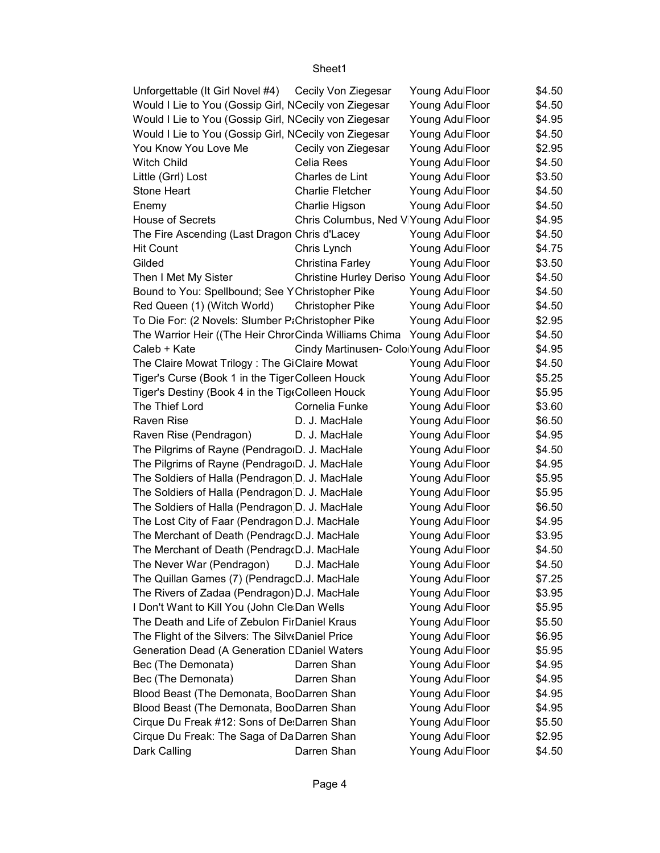| Unforgettable (It Girl Novel #4) Cecily Von Ziegesar  |                                         | Young AdulFloor | \$4.50 |  |
|-------------------------------------------------------|-----------------------------------------|-----------------|--------|--|
| Would I Lie to You (Gossip Girl, NCecily von Ziegesar |                                         | Young AdulFloor | \$4.50 |  |
| Would I Lie to You (Gossip Girl, NCecily von Ziegesar |                                         | Young AdulFloor | \$4.95 |  |
| Would I Lie to You (Gossip Girl, NCecily von Ziegesar |                                         | Young AdulFloor | \$4.50 |  |
| You Know You Love Me                                  | Cecily von Ziegesar                     | Young AdulFloor | \$2.95 |  |
| <b>Witch Child</b>                                    | Celia Rees                              | Young AdulFloor | \$4.50 |  |
| Little (Grrl) Lost                                    | Charles de Lint                         | Young AdulFloor | \$3.50 |  |
| <b>Stone Heart</b>                                    | <b>Charlie Fletcher</b>                 | Young AdulFloor | \$4.50 |  |
| Enemy                                                 | Charlie Higson                          | Young AdulFloor | \$4.50 |  |
| <b>House of Secrets</b>                               | Chris Columbus, Ned ViYoung AdulFloor   |                 | \$4.95 |  |
| The Fire Ascending (Last Dragon Chris d'Lacey         |                                         | Young AdulFloor | \$4.50 |  |
| <b>Hit Count</b>                                      | Chris Lynch                             | Young AdulFloor | \$4.75 |  |
| Gilded                                                | Christina Farley                        | Young AdulFloor | \$3.50 |  |
| Then I Met My Sister                                  | Christine Hurley Deriso Young AdulFloor |                 | \$4.50 |  |
| Bound to You: Spellbound; See YChristopher Pike       |                                         | Young AdulFloor | \$4.50 |  |
| Red Queen (1) (Witch World)                           | <b>Christopher Pike</b>                 | Young AdulFloor | \$4.50 |  |
| To Die For: (2 Novels: Slumber P;Christopher Pike     |                                         | Young AdulFloor | \$2.95 |  |
| The Warrior Heir ((The Heir ChrorCinda Williams Chima |                                         | Young AdulFloor | \$4.50 |  |
| Caleb + Kate                                          | Cindy Martinusen- ColorYoung AdulFloor  |                 | \$4.95 |  |
| The Claire Mowat Trilogy: The GiClaire Mowat          |                                         | Young AdulFloor | \$4.50 |  |
| Tiger's Curse (Book 1 in the Tiger Colleen Houck      |                                         | Young AdulFloor | \$5.25 |  |
| Tiger's Destiny (Book 4 in the TigeColleen Houck      |                                         | Young AdulFloor | \$5.95 |  |
| The Thief Lord                                        | Cornelia Funke                          | Young AdulFloor | \$3.60 |  |
| Raven Rise                                            | D. J. MacHale                           | Young AdulFloor | \$6.50 |  |
| Raven Rise (Pendragon)                                | D. J. MacHale                           | Young AdulFloor | \$4.95 |  |
| The Pilgrims of Rayne (PendragoID. J. MacHale         |                                         | Young AdulFloor | \$4.50 |  |
| The Pilgrims of Rayne (PendragoID. J. MacHale         |                                         | Young AdulFloor | \$4.95 |  |
| The Soldiers of Halla (Pendragon D. J. MacHale        |                                         | Young AdulFloor | \$5.95 |  |
| The Soldiers of Halla (Pendragon D. J. MacHale        |                                         | Young AdulFloor | \$5.95 |  |
| The Soldiers of Halla (Pendragon D. J. MacHale        |                                         | Young AdulFloor | \$6.50 |  |
| The Lost City of Faar (Pendragon D.J. MacHale         |                                         | Young AdulFloor | \$4.95 |  |
| The Merchant of Death (Pendrag(D.J. MacHale           |                                         | Young AdulFloor | \$3.95 |  |
| The Merchant of Death (Pendrag(D.J. MacHale           |                                         | Young AdulFloor | \$4.50 |  |
| The Never War (Pendragon) D.J. MacHale                |                                         | Young AdulFloor | \$4.50 |  |
| The Quillan Games (7) (PendragcD.J. MacHale           |                                         | Young AdulFloor | \$7.25 |  |
| The Rivers of Zadaa (Pendragon) D.J. MacHale          |                                         | Young AdulFloor | \$3.95 |  |
| I Don't Want to Kill You (John Cle Dan Wells          |                                         | Young AdulFloor | \$5.95 |  |
| The Death and Life of Zebulon FirDaniel Kraus         |                                         | Young AdulFloor | \$5.50 |  |
| The Flight of the Silvers: The Silv (Daniel Price     |                                         | Young AdulFloor | \$6.95 |  |
| Generation Dead (A Generation CDaniel Waters          |                                         | Young AdulFloor | \$5.95 |  |
| Bec (The Demonata)                                    | Darren Shan                             | Young AdulFloor | \$4.95 |  |
| Bec (The Demonata)                                    | Darren Shan                             | Young AdulFloor | \$4.95 |  |
| Blood Beast (The Demonata, BooDarren Shan             |                                         | Young AdulFloor | \$4.95 |  |
| Blood Beast (The Demonata, BooDarren Shan             |                                         | Young AdulFloor | \$4.95 |  |
| Cirque Du Freak #12: Sons of De: Darren Shan          |                                         | Young AdulFloor | \$5.50 |  |
| Cirque Du Freak: The Saga of Da Darren Shan           |                                         | Young AdulFloor | \$2.95 |  |
| Dark Calling                                          | Darren Shan                             | Young AdulFloor | \$4.50 |  |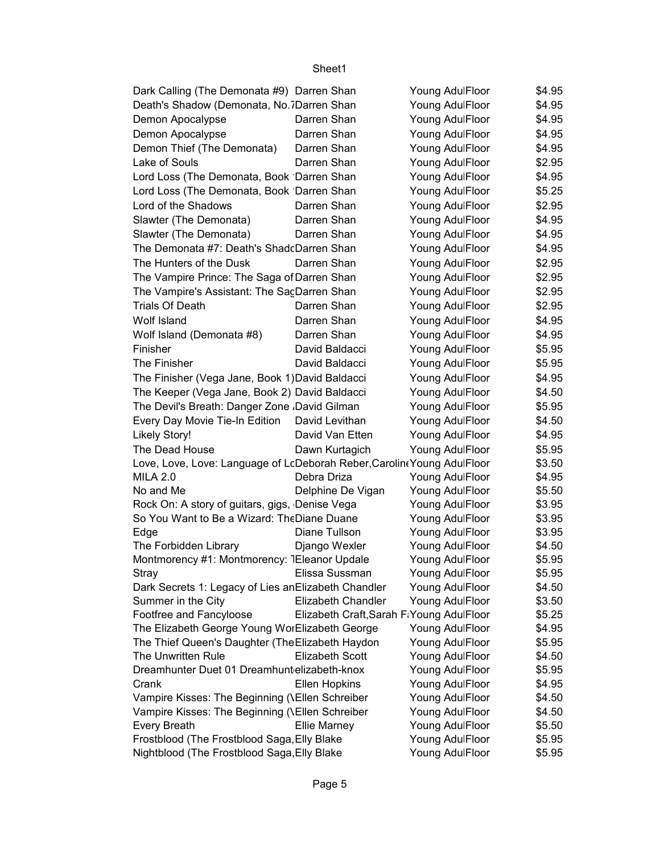| Dark Calling (The Demonata #9) Darren Shan                              |                                          | Young AdulFloor                    | \$4.95 |
|-------------------------------------------------------------------------|------------------------------------------|------------------------------------|--------|
| Death's Shadow (Demonata, No.7Darren Shan                               |                                          | Young AdulFloor                    | \$4.95 |
| Demon Apocalypse                                                        | Darren Shan                              | Young AdulFloor                    | \$4.95 |
| Demon Apocalypse                                                        | Darren Shan                              | Young AdulFloor                    | \$4.95 |
| Demon Thief (The Demonata)                                              | Darren Shan                              | Young AdulFloor                    | \$4.95 |
| Lake of Souls                                                           | Darren Shan                              | Young AdulFloor                    | \$2.95 |
| Lord Loss (The Demonata, Book Darren Shan                               |                                          | Young AdulFloor                    | \$4.95 |
| Lord Loss (The Demonata, Book Darren Shan                               |                                          | Young AdulFloor                    | \$5.25 |
| Lord of the Shadows                                                     | Darren Shan                              | Young AdulFloor                    | \$2.95 |
| Slawter (The Demonata)                                                  | Darren Shan                              | Young AdulFloor                    | \$4.95 |
| Slawter (The Demonata)                                                  | Darren Shan                              | Young AdulFloor                    | \$4.95 |
| The Demonata #7: Death's ShadcDarren Shan                               |                                          | Young AdulFloor                    | \$4.95 |
| The Hunters of the Dusk                                                 | Darren Shan                              | Young AdulFloor                    | \$2.95 |
| The Vampire Prince: The Saga of Darren Shan                             |                                          | Young AdulFloor                    | \$2.95 |
| The Vampire's Assistant: The SacDarren Shan                             |                                          | Young AdulFloor                    | \$2.95 |
| <b>Trials Of Death</b>                                                  | Darren Shan                              |                                    | \$2.95 |
| Wolf Island                                                             | Darren Shan                              | Young AdulFloor<br>Young AdulFloor |        |
|                                                                         |                                          |                                    | \$4.95 |
| Wolf Island (Demonata #8)                                               | Darren Shan                              | Young AdulFloor                    | \$4.95 |
| Finisher                                                                | David Baldacci                           | Young AdulFloor                    | \$5.95 |
| The Finisher                                                            | David Baldacci                           | Young AdulFloor                    | \$5.95 |
| The Finisher (Vega Jane, Book 1) David Baldacci                         |                                          | Young AdulFloor                    | \$4.95 |
| The Keeper (Vega Jane, Book 2) David Baldacci                           |                                          | Young AdulFloor                    | \$4.50 |
| The Devil's Breath: Danger Zone ,David Gilman                           |                                          | Young AdulFloor                    | \$5.95 |
| Every Day Movie Tie-In Edition                                          | David Levithan                           | Young AdulFloor                    | \$4.50 |
| <b>Likely Story!</b>                                                    | David Van Etten                          | Young AdulFloor                    | \$4.95 |
| The Dead House                                                          | Dawn Kurtagich                           | Young AdulFloor                    | \$5.95 |
| Love, Love, Love: Language of LcDeborah Reber, Carolin (Young AdulFloor |                                          |                                    | \$3.50 |
| <b>MILA 2.0</b>                                                         | Debra Driza                              | Young AdulFloor                    | \$4.95 |
| No and Me                                                               | Delphine De Vigan                        | Young AdulFloor                    | \$5.50 |
| Rock On: A story of guitars, gigs, Denise Vega                          |                                          | Young AdulFloor                    | \$3.95 |
| So You Want to Be a Wizard: The Diane Duane                             |                                          | Young AdulFloor                    | \$3.95 |
| Edge                                                                    | Diane Tullson                            | Young AdulFloor                    | \$3.95 |
| The Forbidden Library                                                   | Django Wexler                            | Young AdulFloor                    | \$4.50 |
| Montmorency #1: Montmorency: 1Eleanor Updale                            |                                          | Young AdulFloor                    | \$5.95 |
| <b>Stray</b>                                                            | Elissa Sussman                           | Young AdulFloor                    | \$5.95 |
| Dark Secrets 1: Legacy of Lies an Elizabeth Chandler                    |                                          | Young AdulFloor                    | \$4.50 |
| Summer in the City                                                      | Elizabeth Chandler                       | Young AdulFloor                    | \$3.50 |
| Footfree and Fancyloose                                                 | Elizabeth Craft, Sarah FiYoung AdulFloor |                                    | \$5.25 |
| The Elizabeth George Young WorElizabeth George                          |                                          | Young AdulFloor                    | \$4.95 |
| The Thief Queen's Daughter (The Elizabeth Haydon                        |                                          | Young AdulFloor                    | \$5.95 |
| The Unwritten Rule                                                      | <b>Elizabeth Scott</b>                   | Young AdulFloor                    | \$4.50 |
| Dreamhunter Duet 01 Dreamhunt elizabeth-knox                            |                                          | Young AdulFloor                    | \$5.95 |
| Crank                                                                   | <b>Ellen Hopkins</b>                     | Young AdulFloor                    | \$4.95 |
| Vampire Kisses: The Beginning (\Ellen Schreiber                         |                                          | Young AdulFloor                    | \$4.50 |
| Vampire Kisses: The Beginning (\Ellen Schreiber                         |                                          | Young AdulFloor                    | \$4.50 |
| <b>Every Breath</b>                                                     | <b>Ellie Marney</b>                      | Young AdulFloor                    | \$5.50 |
| Frostblood (The Frostblood Saga, Elly Blake                             |                                          | Young AdulFloor                    | \$5.95 |
| Nightblood (The Frostblood Saga, Elly Blake                             |                                          | Young AdulFloor                    | \$5.95 |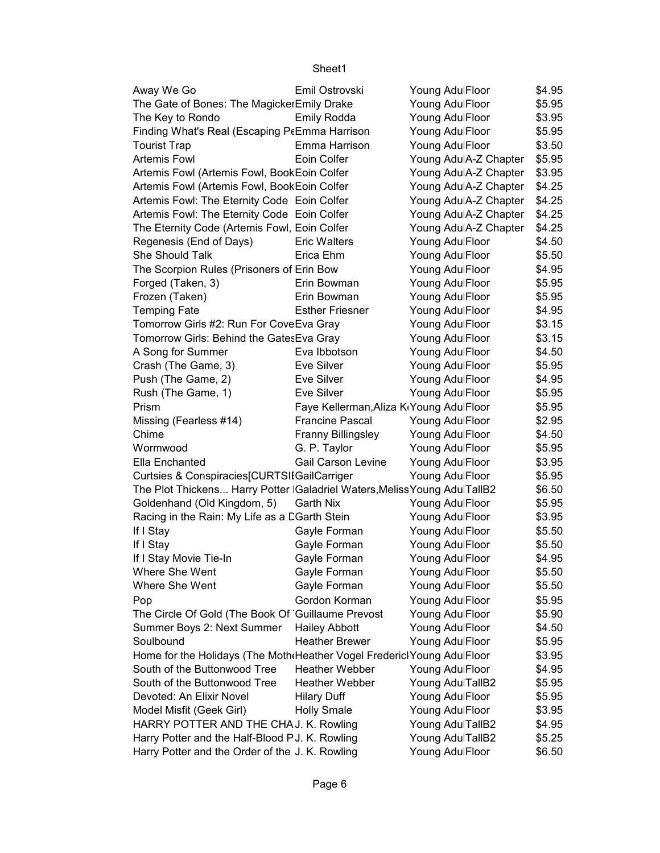| Away We Go                                                                                             | Emil Ostrovski                                       | Young AdulFloor       | \$4.95 |
|--------------------------------------------------------------------------------------------------------|------------------------------------------------------|-----------------------|--------|
| The Gate of Bones: The MagickerEmily Drake                                                             |                                                      | Young AdulFloor       | \$5.95 |
| The Key to Rondo                                                                                       | <b>Emily Rodda</b>                                   | Young AdulFloor       | \$3.95 |
| Finding What's Real (Escaping P(Emma Harrison                                                          |                                                      | Young AdulFloor       | \$5.95 |
| <b>Tourist Trap</b>                                                                                    | Emma Harrison                                        | Young AdulFloor       | \$3.50 |
| <b>Artemis Fowl</b>                                                                                    | Eoin Colfer                                          | Young AdulA-Z Chapter | \$5.95 |
| Artemis Fowl (Artemis Fowl, BookEoin Colfer                                                            |                                                      | Young AdulA-Z Chapter | \$3.95 |
| Artemis Fowl (Artemis Fowl, BookEoin Colfer                                                            |                                                      | Young AdulA-Z Chapter | \$4.25 |
| Artemis Fowl: The Eternity Code Eoin Colfer                                                            |                                                      | Young AdulA-Z Chapter | \$4.25 |
| Artemis Fowl: The Eternity Code Eoin Colfer                                                            |                                                      | Young AdulA-Z Chapter | \$4.25 |
| The Eternity Code (Artemis Fowl, Eoin Colfer                                                           |                                                      | Young AdulA-Z Chapter | \$4.25 |
| Regenesis (End of Days)                                                                                | <b>Eric Walters</b>                                  | Young AdulFloor       | \$4.50 |
| She Should Talk                                                                                        | Erica Ehm                                            | Young AdulFloor       | \$5.50 |
| The Scorpion Rules (Prisoners of Erin Bow                                                              |                                                      | Young AdulFloor       | \$4.95 |
| Forged (Taken, 3)                                                                                      | Erin Bowman                                          | Young AdulFloor       | \$5.95 |
| Frozen (Taken)                                                                                         | Erin Bowman                                          | Young AdulFloor       | \$5.95 |
| <b>Temping Fate</b>                                                                                    | <b>Esther Friesner</b>                               | Young AdulFloor       | \$4.95 |
| Tomorrow Girls #2: Run For CoveEva Gray                                                                |                                                      | Young AdulFloor       | \$3.15 |
| Tomorrow Girls: Behind the Gates Eva Gray                                                              |                                                      | Young AdulFloor       | \$3.15 |
| A Song for Summer                                                                                      | Eva Ibbotson                                         | Young AdulFloor       | \$4.50 |
| Crash (The Game, 3)                                                                                    | Eve Silver                                           | Young AdulFloor       | \$5.95 |
| Push (The Game, 2)                                                                                     | Eve Silver                                           | Young AdulFloor       | \$4.95 |
| Rush (The Game, 1)                                                                                     | Eve Silver                                           | Young AdulFloor       | \$5.95 |
| Prism                                                                                                  | Faye Kellerman, Aliza K <sub>'</sub> Young AdulFloor |                       | \$5.95 |
| Missing (Fearless #14)                                                                                 | <b>Francine Pascal</b>                               | Young AdulFloor       | \$2.95 |
| Chime                                                                                                  | <b>Franny Billingsley</b>                            | Young AdulFloor       | \$4.50 |
| Wormwood                                                                                               | G. P. Taylor                                         | Young AdulFloor       | \$5.95 |
| Ella Enchanted                                                                                         | <b>Gail Carson Levine</b>                            | Young AdulFloor       | \$3.95 |
| Curtsies & Conspiracies[CURTSIIGailCarriger                                                            |                                                      | Young AdulFloor       | \$5.95 |
| The Plot Thickens Harry Potter   Galadriel Waters, Meliss Young AdulTallB2                             |                                                      |                       | \$6.50 |
| Goldenhand (Old Kingdom, 5)                                                                            | Garth Nix                                            | Young AdulFloor       | \$5.95 |
| Racing in the Rain: My Life as a CGarth Stein                                                          |                                                      | Young AdulFloor       | \$3.95 |
| If I Stay                                                                                              | Gayle Forman                                         | Young AdulFloor       | \$5.50 |
| If I Stay                                                                                              | Gayle Forman                                         | Young AdulFloor       | \$5.50 |
| If I Stay Movie Tie-In                                                                                 | Gayle Forman                                         | Young AdulFloor       | \$4.95 |
| Where She Went                                                                                         | Gayle Forman                                         | Young AdulFloor       | \$5.50 |
| Where She Went                                                                                         | Gayle Forman                                         | Young AdulFloor       | \$5.50 |
| Pop                                                                                                    | Gordon Korman                                        | Young AdulFloor       | \$5.95 |
| The Circle Of Gold (The Book Of Guillaume Prevost                                                      |                                                      | Young AdulFloor       |        |
|                                                                                                        |                                                      |                       | \$5.90 |
| Summer Boys 2: Next Summer<br>Soulbound                                                                | <b>Hailey Abbott</b><br><b>Heather Brewer</b>        | Young AdulFloor       | \$4.50 |
|                                                                                                        |                                                      | Young AdulFloor       | \$5.95 |
| Home for the Holidays (The Moth Heather Vogel Frederic Young AdulFloor<br>South of the Buttonwood Tree | <b>Heather Webber</b>                                | Young AdulFloor       | \$3.95 |
| South of the Buttonwood Tree                                                                           | <b>Heather Webber</b>                                |                       | \$4.95 |
| Devoted: An Elixir Novel                                                                               |                                                      | Young AdulTallB2      | \$5.95 |
|                                                                                                        | <b>Hilary Duff</b>                                   | Young AdulFloor       | \$5.95 |
| Model Misfit (Geek Girl)                                                                               | <b>Holly Smale</b>                                   | Young AdulFloor       | \$3.95 |
| HARRY POTTER AND THE CHAJ. K. Rowling                                                                  |                                                      | Young AdulTallB2      | \$4.95 |
| Harry Potter and the Half-Blood PJ. K. Rowling                                                         |                                                      | Young AdulTallB2      | \$5.25 |
| Harry Potter and the Order of the J. K. Rowling                                                        |                                                      | Young AdulFloor       | \$6.50 |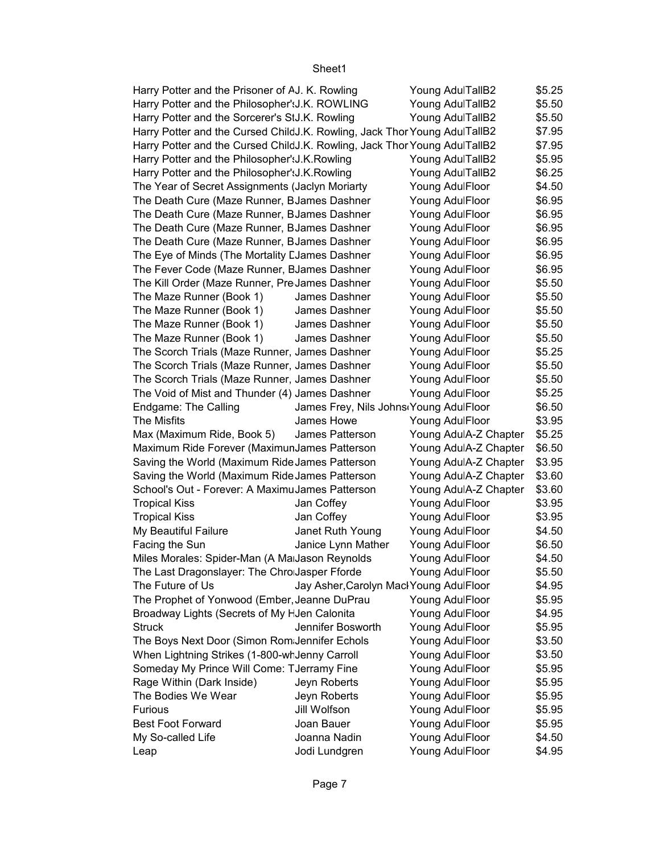| Harry Potter and the Prisoner of AJ. K. Rowling                            |                                         | Young AdulTallB2      | \$5.25 |
|----------------------------------------------------------------------------|-----------------------------------------|-----------------------|--------|
| Harry Potter and the Philosopher': J.K. ROWLING                            |                                         | Young AdulTallB2      | \$5.50 |
| Harry Potter and the Sorcerer's StJ.K. Rowling                             |                                         | Young AdulTallB2      | \$5.50 |
| Harry Potter and the Cursed ChildJ.K. Rowling, Jack Thor Young AdulTallB2  |                                         |                       | \$7.95 |
| Harry Potter and the Cursed Child J.K. Rowling, Jack Thor Young AdulTallB2 |                                         |                       | \$7.95 |
| Harry Potter and the Philosopher': J.K. Rowling                            |                                         | Young AdulTallB2      | \$5.95 |
| Harry Potter and the Philosopher': J.K. Rowling                            |                                         | Young AdulTallB2      | \$6.25 |
| The Year of Secret Assignments (Jaclyn Moriarty                            |                                         | Young AdulFloor       | \$4.50 |
| The Death Cure (Maze Runner, BJames Dashner                                |                                         | Young AdulFloor       | \$6.95 |
| The Death Cure (Maze Runner, BJames Dashner                                |                                         | Young AdulFloor       | \$6.95 |
| The Death Cure (Maze Runner, BJames Dashner                                |                                         | Young AdulFloor       | \$6.95 |
| The Death Cure (Maze Runner, BJames Dashner                                |                                         | Young AdulFloor       | \$6.95 |
| The Eye of Minds (The Mortality EJames Dashner                             |                                         | Young AdulFloor       | \$6.95 |
| The Fever Code (Maze Runner, BJames Dashner                                |                                         | Young AdulFloor       | \$6.95 |
| The Kill Order (Maze Runner, Pre James Dashner                             |                                         | Young AdulFloor       | \$5.50 |
| The Maze Runner (Book 1)                                                   | James Dashner                           | Young AdulFloor       | \$5.50 |
| The Maze Runner (Book 1)                                                   | James Dashner                           | Young AdulFloor       | \$5.50 |
| The Maze Runner (Book 1)                                                   | James Dashner                           | Young AdulFloor       | \$5.50 |
| The Maze Runner (Book 1)                                                   | James Dashner                           | Young AdulFloor       | \$5.50 |
| The Scorch Trials (Maze Runner, James Dashner                              |                                         | Young AdulFloor       | \$5.25 |
| The Scorch Trials (Maze Runner, James Dashner                              |                                         | Young AdulFloor       | \$5.50 |
| The Scorch Trials (Maze Runner, James Dashner                              |                                         | Young AdulFloor       | \$5.50 |
| The Void of Mist and Thunder (4) James Dashner                             |                                         | Young AdulFloor       | \$5.25 |
| Endgame: The Calling                                                       | James Frey, Nils Johns Young AdulFloor  |                       | \$6.50 |
| <b>The Misfits</b>                                                         | James Howe                              | Young AdulFloor       | \$3.95 |
| Max (Maximum Ride, Book 5)                                                 | James Patterson                         | Young AdulA-Z Chapter | \$5.25 |
| Maximum Ride Forever (MaximunJames Patterson                               |                                         | Young AdulA-Z Chapter | \$6.50 |
| Saving the World (Maximum Ride James Patterson                             |                                         | Young AdulA-Z Chapter | \$3.95 |
| Saving the World (Maximum Ride James Patterson                             |                                         | Young AdulA-Z Chapter | \$3.60 |
| School's Out - Forever: A MaximuJames Patterson                            |                                         | Young AdulA-Z Chapter | \$3.60 |
| <b>Tropical Kiss</b>                                                       | Jan Coffey                              | Young AdulFloor       | \$3.95 |
| <b>Tropical Kiss</b>                                                       | Jan Coffey                              | Young AdulFloor       | \$3.95 |
| My Beautiful Failure                                                       | Janet Ruth Young                        | Young AdulFloor       | \$4.50 |
| Facing the Sun                                                             | Janice Lynn Mather                      | Young AdulFloor       | \$6.50 |
| Miles Morales: Spider-Man (A Ma Jason Reynolds                             |                                         | Young AdulFloor       | \$4.50 |
| The Last Dragonslayer: The Chro Jasper Fforde                              |                                         | Young AdulFloor       | \$5.50 |
| The Future of Us                                                           | Jay Asher, Carolyn Macl Young AdulFloor |                       | \$4.95 |
| The Prophet of Yonwood (Ember, Jeanne DuPrau                               |                                         | Young AdulFloor       | \$5.95 |
| Broadway Lights (Secrets of My HJen Calonita                               |                                         | Young AdulFloor       | \$4.95 |
| <b>Struck</b>                                                              | Jennifer Bosworth                       | Young AdulFloor       | \$5.95 |
| The Boys Next Door (Simon Rom Jennifer Echols                              |                                         | Young AdulFloor       | \$3.50 |
| When Lightning Strikes (1-800-wr Jenny Carroll                             |                                         | Young AdulFloor       | \$3.50 |
| Someday My Prince Will Come: TJerramy Fine                                 |                                         | Young AdulFloor       | \$5.95 |
| Rage Within (Dark Inside)                                                  | Jeyn Roberts                            | Young AdulFloor       | \$5.95 |
| The Bodies We Wear                                                         | Jeyn Roberts                            | Young AdulFloor       | \$5.95 |
| <b>Furious</b>                                                             | Jill Wolfson                            | Young AdulFloor       | \$5.95 |
| <b>Best Foot Forward</b>                                                   | Joan Bauer                              | Young AdulFloor       | \$5.95 |
| My So-called Life                                                          | Joanna Nadin                            | Young AdulFloor       | \$4.50 |
| Leap                                                                       | Jodi Lundgren                           | Young AdulFloor       | \$4.95 |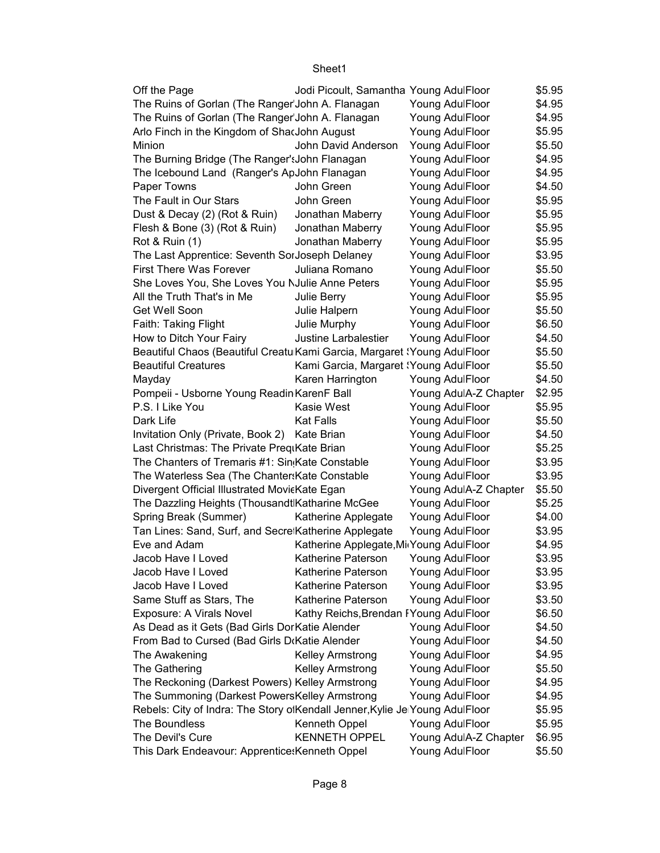| Off the Page                                                                | Jodi Picoult, Samantha Young AdulFloor  |                       | \$5.95 |
|-----------------------------------------------------------------------------|-----------------------------------------|-----------------------|--------|
| The Ruins of Gorlan (The Ranger John A. Flanagan                            |                                         | Young AdulFloor       | \$4.95 |
| The Ruins of Gorlan (The Ranger John A. Flanagan                            |                                         | Young AdulFloor       | \$4.95 |
| Arlo Finch in the Kingdom of ShacJohn August                                |                                         | Young AdulFloor       | \$5.95 |
| Minion                                                                      | John David Anderson                     | Young AdulFloor       | \$5.50 |
| The Burning Bridge (The Ranger': John Flanagan                              |                                         | Young AdulFloor       | \$4.95 |
| The Icebound Land (Ranger's ApJohn Flanagan                                 |                                         | Young AdulFloor       | \$4.95 |
| Paper Towns                                                                 | John Green                              | Young AdulFloor       | \$4.50 |
| The Fault in Our Stars                                                      | John Green                              | Young AdulFloor       | \$5.95 |
| Dust & Decay (2) (Rot & Ruin)                                               | Jonathan Maberry                        | Young AdulFloor       | \$5.95 |
| Flesh & Bone (3) (Rot & Ruin)                                               | Jonathan Maberry                        | Young AdulFloor       | \$5.95 |
| Rot & Ruin (1)                                                              | Jonathan Maberry                        | Young AdulFloor       | \$5.95 |
| The Last Apprentice: Seventh SorJoseph Delaney                              |                                         | Young AdulFloor       | \$3.95 |
| <b>First There Was Forever</b>                                              | Juliana Romano                          | Young AdulFloor       | \$5.50 |
| She Loves You, She Loves You NJulie Anne Peters                             |                                         | Young AdulFloor       | \$5.95 |
| All the Truth That's in Me                                                  | Julie Berry                             | Young AdulFloor       | \$5.95 |
| Get Well Soon                                                               | Julie Halpern                           | Young AdulFloor       | \$5.50 |
| Faith: Taking Flight                                                        | Julie Murphy                            | Young AdulFloor       | \$6.50 |
| How to Ditch Your Fairy                                                     | Justine Larbalestier                    | Young AdulFloor       | \$4.50 |
| Beautiful Chaos (Beautiful Creatu Kami Garcia, Margaret 'Young AdulFloor    |                                         |                       | \$5.50 |
| <b>Beautiful Creatures</b>                                                  | Kami Garcia, Margaret (Young AdulFloor  |                       | \$5.50 |
| Mayday                                                                      | Karen Harrington                        | Young AdulFloor       | \$4.50 |
| Pompeii - Usborne Young Readin KarenF Ball                                  |                                         | Young AdulA-Z Chapter | \$2.95 |
| P.S. I Like You                                                             | Kasie West                              | Young AdulFloor       | \$5.95 |
| Dark Life                                                                   | <b>Kat Falls</b>                        | Young AdulFloor       | \$5.50 |
| Invitation Only (Private, Book 2) Kate Brian                                |                                         | Young AdulFloor       | \$4.50 |
| Last Christmas: The Private PreqiKate Brian                                 |                                         | Young AdulFloor       | \$5.25 |
| The Chanters of Tremaris #1: Sin Kate Constable                             |                                         | Young AdulFloor       | \$3.95 |
| The Waterless Sea (The Chanter: Kate Constable                              |                                         | Young AdulFloor       | \$3.95 |
| Divergent Official Illustrated MovicKate Egan                               |                                         | Young AdulA-Z Chapter | \$5.50 |
| The Dazzling Heights (Thousandt Katharine McGee                             |                                         | Young AdulFloor       | \$5.25 |
| Spring Break (Summer)                                                       | Katherine Applegate                     | Young AdulFloor       | \$4.00 |
| Tan Lines: Sand, Surf, and Secre Katherine Applegate                        |                                         | Young AdulFloor       | \$3.95 |
| Eve and Adam                                                                | Katherine Applegate, Mi Young AdulFloor |                       | \$4.95 |
| Jacob Have I Loved                                                          | Katherine Paterson                      | Young AdulFloor       | \$3.95 |
| Jacob Have I Loved                                                          | <b>Katherine Paterson</b>               | Young AdulFloor       | \$3.95 |
| Jacob Have I Loved                                                          | <b>Katherine Paterson</b>               | Young AdulFloor       | \$3.95 |
| Same Stuff as Stars, The                                                    | Katherine Paterson                      | Young AdulFloor       | \$3.50 |
| Exposure: A Virals Novel                                                    | Kathy Reichs, Brendan FYoung AdulFloor  |                       | \$6.50 |
| As Dead as it Gets (Bad Girls DorKatie Alender                              |                                         | Young AdulFloor       | \$4.50 |
| From Bad to Cursed (Bad Girls D(Katie Alender                               |                                         | Young AdulFloor       | \$4.50 |
| The Awakening                                                               | <b>Kelley Armstrong</b>                 | Young AdulFloor       | \$4.95 |
| The Gathering                                                               | <b>Kelley Armstrong</b>                 | Young AdulFloor       | \$5.50 |
| The Reckoning (Darkest Powers) Kelley Armstrong                             |                                         | Young AdulFloor       | \$4.95 |
| The Summoning (Darkest PowersKelley Armstrong                               |                                         | Young AdulFloor       | \$4.95 |
| Rebels: City of Indra: The Story olKendall Jenner, Kylie JelYoung AdulFloor |                                         |                       | \$5.95 |
| The Boundless                                                               | Kenneth Oppel                           | Young AdulFloor       | \$5.95 |
| The Devil's Cure                                                            | <b>KENNETH OPPEL</b>                    | Young AdulA-Z Chapter | \$6.95 |
| This Dark Endeavour: Apprentice: Kenneth Oppel                              |                                         | Young AdulFloor       | \$5.50 |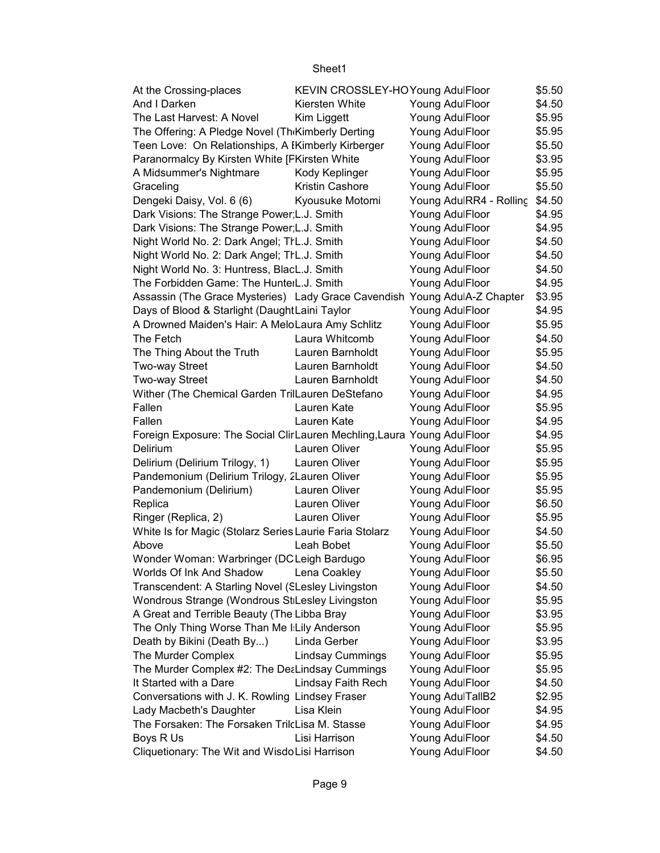| At the Crossing-places                                                    | KEVIN CROSSLEY-HOYoung AdulFloor |                         | \$5.50 |
|---------------------------------------------------------------------------|----------------------------------|-------------------------|--------|
| And I Darken                                                              | Kiersten White                   | Young AdulFloor         | \$4.50 |
| The Last Harvest: A Novel                                                 | Kim Liggett                      | Young AdulFloor         | \$5.95 |
| The Offering: A Pledge Novel (Th Kimberly Derting                         |                                  | Young AdulFloor         | \$5.95 |
| Teen Love: On Relationships, A IKimberly Kirberger                        |                                  | Young AdulFloor         | \$5.50 |
| Paranormalcy By Kirsten White [FKirsten White                             |                                  | Young AdulFloor         | \$3.95 |
| A Midsummer's Nightmare                                                   | Kody Keplinger                   | Young AdulFloor         | \$5.95 |
| Graceling                                                                 | <b>Kristin Cashore</b>           | Young AdulFloor         | \$5.50 |
| Dengeki Daisy, Vol. 6 (6)                                                 | Kyousuke Motomi                  | Young AdulRR4 - Rolling | \$4.50 |
| Dark Visions: The Strange Power L.J. Smith                                |                                  | Young AdulFloor         | \$4.95 |
| Dark Visions: The Strange Power L.J. Smith                                |                                  | Young AdulFloor         | \$4.95 |
| Night World No. 2: Dark Angel; TIL.J. Smith                               |                                  | Young AdulFloor         | \$4.50 |
| Night World No. 2: Dark Angel; TIL.J. Smith                               |                                  | Young AdulFloor         | \$4.50 |
| Night World No. 3: Huntress, BlacL.J. Smith                               |                                  | Young AdulFloor         | \$4.50 |
| The Forbidden Game: The HunterL.J. Smith                                  |                                  | Young AdulFloor         | \$4.95 |
| Assassin (The Grace Mysteries) Lady Grace Cavendish Young AdulA-Z Chapter |                                  |                         | \$3.95 |
| Days of Blood & Starlight (DaughtLaini Taylor                             |                                  | Young AdulFloor         | \$4.95 |
| A Drowned Maiden's Hair: A MeloLaura Amy Schlitz                          |                                  | Young AdulFloor         | \$5.95 |
| The Fetch                                                                 | Laura Whitcomb                   | Young AdulFloor         | \$4.50 |
| The Thing About the Truth                                                 | Lauren Barnholdt                 | Young AdulFloor         | \$5.95 |
| Two-way Street                                                            | Lauren Barnholdt                 | Young AdulFloor         | \$4.50 |
| Two-way Street                                                            | Lauren Barnholdt                 | Young AdulFloor         | \$4.50 |
| Wither (The Chemical Garden TrilLauren DeStefano                          |                                  | Young AdulFloor         | \$4.95 |
| Fallen                                                                    | Lauren Kate                      | Young AdulFloor         | \$5.95 |
| Fallen                                                                    | Lauren Kate                      | Young AdulFloor         | \$4.95 |
| Foreign Exposure: The Social ClirLauren Mechling, Laura Young AdulFloor   |                                  |                         | \$4.95 |
| Delirium                                                                  | Lauren Oliver                    | Young AdulFloor         | \$5.95 |
| Delirium (Delirium Trilogy, 1)                                            | Lauren Oliver                    | Young AdulFloor         | \$5.95 |
| Pandemonium (Delirium Trilogy, 2Lauren Oliver                             |                                  | Young AdulFloor         | \$5.95 |
| Pandemonium (Delirium)                                                    | Lauren Oliver                    | Young AdulFloor         | \$5.95 |
| Replica                                                                   | Lauren Oliver                    | Young AdulFloor         | \$6.50 |
| Ringer (Replica, 2)                                                       | Lauren Oliver                    | Young AdulFloor         | \$5.95 |
| White Is for Magic (Stolarz Series Laurie Faria Stolarz                   |                                  | Young AdulFloor         | \$4.50 |
| Above                                                                     | Leah Bobet                       | Young AdulFloor         | \$5.50 |
| Wonder Woman: Warbringer (DC Leigh Bardugo                                |                                  | Young AdulFloor         | \$6.95 |
| Worlds Of Ink And Shadow                                                  | Lena Coakley                     | Young AdulFloor         | \$5.50 |
| Transcendent: A Starling Novel (SLesley Livingston                        |                                  | Young AdulFloor         | \$4.50 |
| Wondrous Strange (Wondrous St Lesley Livingston                           |                                  | Young AdulFloor         | \$5.95 |
| A Great and Terrible Beauty (The Libba Bray                               |                                  | Young AdulFloor         | \$3.95 |
| The Only Thing Worse Than Me I Lily Anderson                              |                                  | Young AdulFloor         | \$5.95 |
| Death by Bikini (Death By)                                                | Linda Gerber                     | Young AdulFloor         | \$3.95 |
| The Murder Complex                                                        | <b>Lindsay Cummings</b>          | Young AdulFloor         | \$5.95 |
| The Murder Complex #2: The DeaLindsay Cummings                            |                                  | Young AdulFloor         | \$5.95 |
| It Started with a Dare                                                    | Lindsay Faith Rech               | Young AdulFloor         | \$4.50 |
| Conversations with J. K. Rowling Lindsey Fraser                           |                                  | Young AdulTallB2        | \$2.95 |
| Lady Macbeth's Daughter                                                   | Lisa Klein                       | Young AdulFloor         | \$4.95 |
| The Forsaken: The Forsaken TrilcLisa M. Stasse                            |                                  | Young AdulFloor         | \$4.95 |
| Boys R Us                                                                 | Lisi Harrison                    | Young AdulFloor         | \$4.50 |
| Cliquetionary: The Wit and WisdoLisi Harrison                             |                                  | Young AdulFloor         | \$4.50 |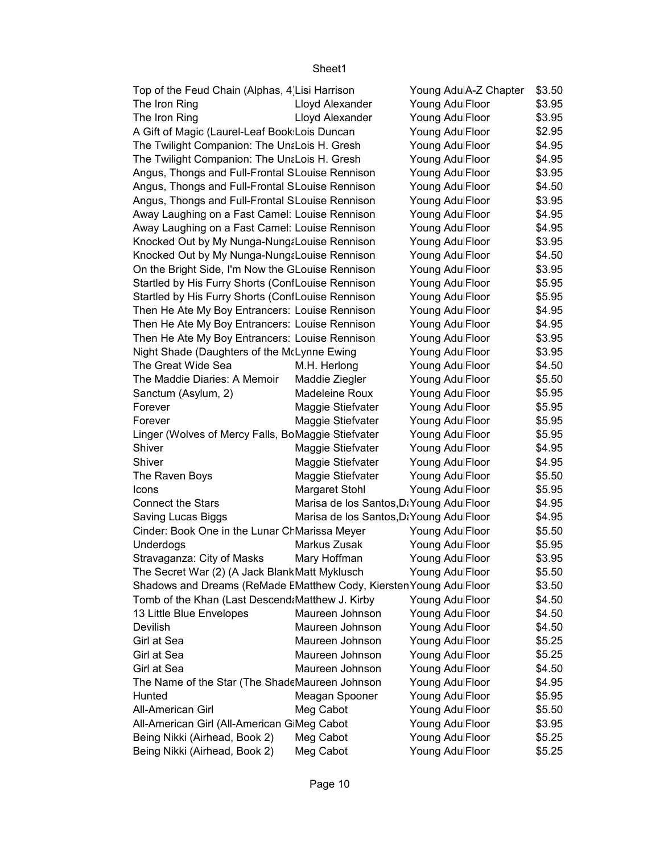| Top of the Feud Chain (Alphas, 4 Lisi Harrison                     |                                          | Young AdulA-Z Chapter | \$3.50 |
|--------------------------------------------------------------------|------------------------------------------|-----------------------|--------|
| The Iron Ring                                                      | Lloyd Alexander                          | Young AdulFloor       | \$3.95 |
| The Iron Ring                                                      | Lloyd Alexander                          | Young AdulFloor       | \$3.95 |
| A Gift of Magic (Laurel-Leaf Book:Lois Duncan                      |                                          | Young AdulFloor       | \$2.95 |
| The Twilight Companion: The UntLois H. Gresh                       |                                          | Young AdulFloor       | \$4.95 |
| The Twilight Companion: The UntLois H. Gresh                       |                                          | Young AdulFloor       | \$4.95 |
| Angus, Thongs and Full-Frontal SLouise Rennison                    |                                          | Young AdulFloor       | \$3.95 |
| Angus, Thongs and Full-Frontal SLouise Rennison                    |                                          | Young AdulFloor       | \$4.50 |
| Angus, Thongs and Full-Frontal SLouise Rennison                    |                                          | Young AdulFloor       | \$3.95 |
| Away Laughing on a Fast Camel: Louise Rennison                     |                                          | Young AdulFloor       | \$4.95 |
| Away Laughing on a Fast Camel: Louise Rennison                     |                                          | Young AdulFloor       | \$4.95 |
| Knocked Out by My Nunga-NungaLouise Rennison                       |                                          | Young AdulFloor       | \$3.95 |
| Knocked Out by My Nunga-Nung&Louise Rennison                       |                                          | Young AdulFloor       | \$4.50 |
| On the Bright Side, I'm Now the GLouise Rennison                   |                                          | Young AdulFloor       | \$3.95 |
| Startled by His Furry Shorts (ConfLouise Rennison                  |                                          | Young AdulFloor       | \$5.95 |
| Startled by His Furry Shorts (ConfLouise Rennison                  |                                          | Young AdulFloor       | \$5.95 |
| Then He Ate My Boy Entrancers: Louise Rennison                     |                                          | Young AdulFloor       | \$4.95 |
| Then He Ate My Boy Entrancers: Louise Rennison                     |                                          | Young AdulFloor       | \$4.95 |
| Then He Ate My Boy Entrancers: Louise Rennison                     |                                          | Young AdulFloor       | \$3.95 |
| Night Shade (Daughters of the McLynne Ewing                        |                                          | Young AdulFloor       | \$3.95 |
| The Great Wide Sea                                                 | M.H. Herlong                             | Young AdulFloor       | \$4.50 |
| The Maddie Diaries: A Memoir                                       | Maddie Ziegler                           | Young AdulFloor       | \$5.50 |
| Sanctum (Asylum, 2)                                                | Madeleine Roux                           | Young AdulFloor       | \$5.95 |
| Forever                                                            | Maggie Stiefvater                        | Young AdulFloor       | \$5.95 |
| Forever                                                            | Maggie Stiefvater                        | Young AdulFloor       | \$5.95 |
| Linger (Wolves of Mercy Falls, BoMaggie Stiefvater                 |                                          | Young AdulFloor       | \$5.95 |
| Shiver                                                             | Maggie Stiefvater                        | Young AdulFloor       | \$4.95 |
| Shiver                                                             | Maggie Stiefvater                        | Young AdulFloor       | \$4.95 |
| The Raven Boys                                                     | Maggie Stiefvater                        | Young AdulFloor       | \$5.50 |
| Icons                                                              | Margaret Stohl                           | Young AdulFloor       | \$5.95 |
| <b>Connect the Stars</b>                                           | Marisa de los Santos, D: Young AdulFloor |                       | \$4.95 |
| Saving Lucas Biggs                                                 | Marisa de los Santos, DaYoung AdulFloor  |                       | \$4.95 |
| Cinder: Book One in the Lunar ChMarissa Meyer                      |                                          | Young AdulFloor       | \$5.50 |
| Underdogs                                                          | Markus Zusak                             | Young AdulFloor       | \$5.95 |
| Stravaganza: City of Masks                                         | Mary Hoffman                             | Young AdulFloor       | \$3.95 |
| The Secret War (2) (A Jack BlankMatt Myklusch                      |                                          | Young AdulFloor       | \$5.50 |
| Shadows and Dreams (ReMade EMatthew Cody, Kiersten Young AdulFloor |                                          |                       | \$3.50 |
| Tomb of the Khan (Last Descend: Matthew J. Kirby                   |                                          | Young AdulFloor       | \$4.50 |
| 13 Little Blue Envelopes                                           | Maureen Johnson                          | Young AdulFloor       | \$4.50 |
| Devilish                                                           | Maureen Johnson                          | Young AdulFloor       | \$4.50 |
| Girl at Sea                                                        | Maureen Johnson                          | Young AdulFloor       | \$5.25 |
| Girl at Sea                                                        | Maureen Johnson                          | Young AdulFloor       | \$5.25 |
| Girl at Sea                                                        | Maureen Johnson                          | Young AdulFloor       | \$4.50 |
| The Name of the Star (The ShadeMaureen Johnson                     |                                          | Young AdulFloor       | \$4.95 |
| Hunted                                                             | Meagan Spooner                           | Young AdulFloor       | \$5.95 |
| All-American Girl                                                  | Meg Cabot                                | Young AdulFloor       | \$5.50 |
| All-American Girl (All-American GiMeg Cabot                        |                                          | Young AdulFloor       | \$3.95 |
| Being Nikki (Airhead, Book 2)                                      | Meg Cabot                                | Young AdulFloor       | \$5.25 |
| Being Nikki (Airhead, Book 2)                                      | Meg Cabot                                | Young AdulFloor       | \$5.25 |
|                                                                    |                                          |                       |        |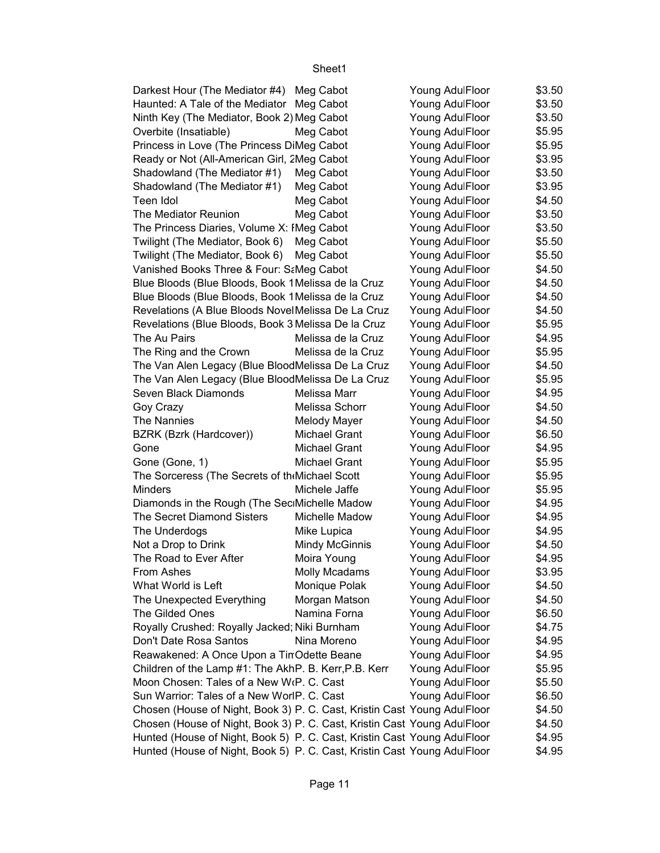| Darkest Hour (The Mediator #4) Meg Cabot                                 |                       | Young AdulFloor | \$3.50 |
|--------------------------------------------------------------------------|-----------------------|-----------------|--------|
| Haunted: A Tale of the Mediator                                          | Meg Cabot             | Young AdulFloor | \$3.50 |
| Ninth Key (The Mediator, Book 2) Meg Cabot                               |                       | Young AdulFloor | \$3.50 |
| Overbite (Insatiable)                                                    | Meg Cabot             | Young AdulFloor | \$5.95 |
| Princess in Love (The Princess DiMeg Cabot                               |                       | Young AdulFloor | \$5.95 |
| Ready or Not (All-American Girl, 2Meg Cabot                              |                       | Young AdulFloor | \$3.95 |
| Shadowland (The Mediator #1)                                             | Meg Cabot             | Young AdulFloor | \$3.50 |
| Shadowland (The Mediator #1)                                             | Meg Cabot             | Young AdulFloor | \$3.95 |
| Teen Idol                                                                | Meg Cabot             | Young AdulFloor | \$4.50 |
| The Mediator Reunion                                                     | Meg Cabot             | Young AdulFloor | \$3.50 |
| The Princess Diaries, Volume X: IMeg Cabot                               |                       | Young AdulFloor | \$3.50 |
| Twilight (The Mediator, Book 6)                                          | Meg Cabot             | Young AdulFloor | \$5.50 |
| Twilight (The Mediator, Book 6)                                          | Meg Cabot             | Young AdulFloor | \$5.50 |
| Vanished Books Three & Four: SaMeg Cabot                                 |                       | Young AdulFloor | \$4.50 |
| Blue Bloods (Blue Bloods, Book 1 Melissa de la Cruz                      |                       | Young AdulFloor | \$4.50 |
| Blue Bloods (Blue Bloods, Book 1 Melissa de la Cruz                      |                       | Young AdulFloor | \$4.50 |
| Revelations (A Blue Bloods NovelMelissa De La Cruz                       |                       | Young AdulFloor | \$4.50 |
| Revelations (Blue Bloods, Book 3 Melissa De la Cruz                      |                       | Young AdulFloor | \$5.95 |
| The Au Pairs                                                             | Melissa de la Cruz    | Young AdulFloor | \$4.95 |
| The Ring and the Crown                                                   | Melissa de la Cruz    | Young AdulFloor | \$5.95 |
| The Van Alen Legacy (Blue BloodMelissa De La Cruz                        |                       | Young AdulFloor | \$4.50 |
| The Van Alen Legacy (Blue BloodMelissa De La Cruz                        |                       | Young AdulFloor | \$5.95 |
| Seven Black Diamonds                                                     | Melissa Marr          | Young AdulFloor | \$4.95 |
| Goy Crazy                                                                | Melissa Schorr        | Young AdulFloor | \$4.50 |
| The Nannies                                                              | Melody Mayer          | Young AdulFloor | \$4.50 |
| BZRK (Bzrk (Hardcover))                                                  | Michael Grant         | Young AdulFloor | \$6.50 |
| Gone                                                                     | <b>Michael Grant</b>  | Young AdulFloor | \$4.95 |
| Gone (Gone, 1)                                                           | Michael Grant         | Young AdulFloor | \$5.95 |
| The Sorceress (The Secrets of th Michael Scott                           |                       | Young AdulFloor | \$5.95 |
| <b>Minders</b>                                                           | Michele Jaffe         | Young AdulFloor | \$5.95 |
| Diamonds in the Rough (The SeciMichelle Madow                            |                       | Young AdulFloor | \$4.95 |
| The Secret Diamond Sisters                                               | Michelle Madow        | Young AdulFloor | \$4.95 |
| The Underdogs                                                            | Mike Lupica           | Young AdulFloor | \$4.95 |
| Not a Drop to Drink                                                      | <b>Mindy McGinnis</b> | Young AdulFloor | \$4.50 |
| The Road to Ever After                                                   | Moira Young           | Young AdulFloor | \$4.95 |
| From Ashes                                                               | Molly Mcadams         | Young AdulFloor | \$3.95 |
| What World is Left                                                       | Monique Polak         | Young AdulFloor | \$4.50 |
| The Unexpected Everything                                                | Morgan Matson         | Young AdulFloor | \$4.50 |
| The Gilded Ones                                                          | Namina Forna          | Young AdulFloor | \$6.50 |
| Royally Crushed: Royally Jacked; Niki Burnham                            |                       | Young AdulFloor | \$4.75 |
| Don't Date Rosa Santos                                                   | Nina Moreno           | Young AdulFloor | \$4.95 |
| Reawakened: A Once Upon a TinOdette Beane                                |                       | Young AdulFloor | \$4.95 |
| Children of the Lamp #1: The AkhP. B. Kerr, P.B. Kerr                    |                       | Young AdulFloor | \$5.95 |
| Moon Chosen: Tales of a New W(P. C. Cast                                 |                       | Young AdulFloor | \$5.50 |
| Sun Warrior: Tales of a New WorlP. C. Cast                               |                       | Young AdulFloor | \$6.50 |
| Chosen (House of Night, Book 3) P. C. Cast, Kristin Cast Young AdulFloor |                       |                 | \$4.50 |
| Chosen (House of Night, Book 3) P. C. Cast, Kristin Cast Young AdulFloor |                       |                 | \$4.50 |
| Hunted (House of Night, Book 5) P. C. Cast, Kristin Cast Young AdulFloor |                       |                 | \$4.95 |
| Hunted (House of Night, Book 5) P. C. Cast, Kristin Cast Young AdulFloor |                       |                 | \$4.95 |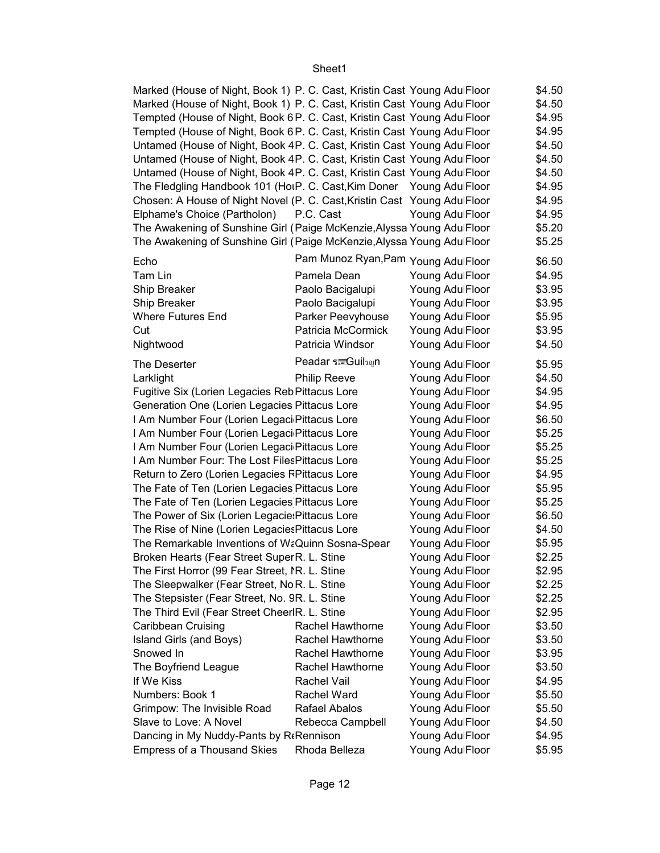| Marked (House of Night, Book 1) P. C. Cast, Kristin Cast Young AdulFloor |                                     |                 | \$4.50 |
|--------------------------------------------------------------------------|-------------------------------------|-----------------|--------|
| Marked (House of Night, Book 1) P. C. Cast, Kristin Cast Young AdulFloor |                                     |                 | \$4.50 |
| Tempted (House of Night, Book 6 P. C. Cast, Kristin Cast Young AdulFloor |                                     |                 | \$4.95 |
| Tempted (House of Night, Book 6 P. C. Cast, Kristin Cast Young AdulFloor |                                     |                 | \$4.95 |
| Untamed (House of Night, Book 4P. C. Cast, Kristin Cast Young AdulFloor  |                                     |                 | \$4.50 |
| Untamed (House of Night, Book 4P. C. Cast, Kristin Cast Young AdulFloor  |                                     |                 | \$4.50 |
| Untamed (House of Night, Book 4P. C. Cast, Kristin Cast Young AdulFloor  |                                     |                 | \$4.50 |
| The Fledgling Handbook 101 (HoiP. C. Cast, Kim Doner Young AdulFloor     |                                     |                 | \$4.95 |
| Chosen: A House of Night Novel (P. C. Cast, Kristin Cast Young AdulFloor |                                     |                 | \$4.95 |
| Elphame's Choice (Partholon)                                             | P.C. Cast                           | Young AdulFloor | \$4.95 |
| The Awakening of Sunshine Girl (Paige McKenzie, Alyssa Young AdulFloor   |                                     |                 | \$5.20 |
| The Awakening of Sunshine Girl (Paige McKenzie, Alyssa Young AdulFloor   |                                     |                 | \$5.25 |
| Echo                                                                     | Pam Munoz Ryan, Pam Young AdulFloor |                 | \$6.50 |
| Tam Lin                                                                  | Pamela Dean                         | Young AdulFloor | \$4.95 |
| Ship Breaker                                                             | Paolo Bacigalupi                    | Young AdulFloor | \$3.95 |
| Ship Breaker                                                             | Paolo Bacigalupi                    | Young AdulFloor | \$3.95 |
| <b>Where Futures End</b>                                                 | Parker Peevyhouse                   | Young AdulFloor | \$5.95 |
| Cut                                                                      | Patricia McCormick                  | Young AdulFloor | \$3.95 |
| Nightwood                                                                | Patricia Windsor                    | Young AdulFloor | \$4.50 |
| The Deserter                                                             | Peadar ร <sub>EGuilsญ</sub> n       | Young AdulFloor | \$5.95 |
| Larklight                                                                | <b>Philip Reeve</b>                 | Young AdulFloor | \$4.50 |
| Fugitive Six (Lorien Legacies Reb Pittacus Lore                          |                                     | Young AdulFloor | \$4.95 |
| Generation One (Lorien Legacies Pittacus Lore                            |                                     | Young AdulFloor | \$4.95 |
| I Am Number Four (Lorien Legaci Pittacus Lore                            |                                     | Young AdulFloor | \$6.50 |
| I Am Number Four (Lorien Legaci Pittacus Lore                            |                                     | Young AdulFloor | \$5.25 |
| I Am Number Four (Lorien Legaci Pittacus Lore                            |                                     | Young AdulFloor | \$5.25 |
| I Am Number Four: The Lost Files Pittacus Lore                           |                                     | Young AdulFloor | \$5.25 |
| Return to Zero (Lorien Legacies FPittacus Lore                           |                                     | Young AdulFloor | \$4.95 |
| The Fate of Ten (Lorien Legacies Pittacus Lore                           |                                     | Young AdulFloor | \$5.95 |
|                                                                          |                                     |                 | \$5.25 |
| The Fate of Ten (Lorien Legacies Pittacus Lore                           |                                     | Young AdulFloor |        |
| The Power of Six (Lorien Legacie: Pittacus Lore                          |                                     | Young AdulFloor | \$6.50 |
| The Rise of Nine (Lorien Legacies Pittacus Lore                          |                                     | Young AdulFloor | \$4.50 |
| The Remarkable Inventions of WaQuinn Sosna-Spear                         |                                     | Young AdulFloor | \$5.95 |
| Broken Hearts (Fear Street Super R. L. Stine                             |                                     | Young AdulFloor | \$2.25 |
| The First Horror (99 Fear Street, IR. L. Stine                           |                                     | Young AdulFloor | \$2.95 |
| The Sleepwalker (Fear Street, No R. L. Stine                             |                                     | Young AdulFloor | \$2.25 |
| The Stepsister (Fear Street, No. 9R. L. Stine                            |                                     | Young AdulFloor | \$2.25 |
| The Third Evil (Fear Street CheerlR. L. Stine                            |                                     | Young AdulFloor | \$2.95 |
| Caribbean Cruising                                                       | Rachel Hawthorne                    | Young AdulFloor | \$3.50 |
| Island Girls (and Boys)                                                  | Rachel Hawthorne                    | Young AdulFloor | \$3.50 |
| Snowed In                                                                | Rachel Hawthorne                    | Young AdulFloor | \$3.95 |
| The Boyfriend League                                                     | Rachel Hawthorne                    | Young AdulFloor | \$3.50 |
| If We Kiss                                                               | Rachel Vail                         | Young AdulFloor | \$4.95 |
| Numbers: Book 1                                                          | Rachel Ward                         | Young AdulFloor | \$5.50 |
| Grimpow: The Invisible Road                                              | Rafael Abalos                       | Young AdulFloor | \$5.50 |
| Slave to Love: A Novel                                                   | Rebecca Campbell                    | Young AdulFloor | \$4.50 |
| Dancing in My Nuddy-Pants by R(Rennison                                  |                                     | Young AdulFloor | \$4.95 |
| <b>Empress of a Thousand Skies</b>                                       | Rhoda Belleza                       | Young AdulFloor | \$5.95 |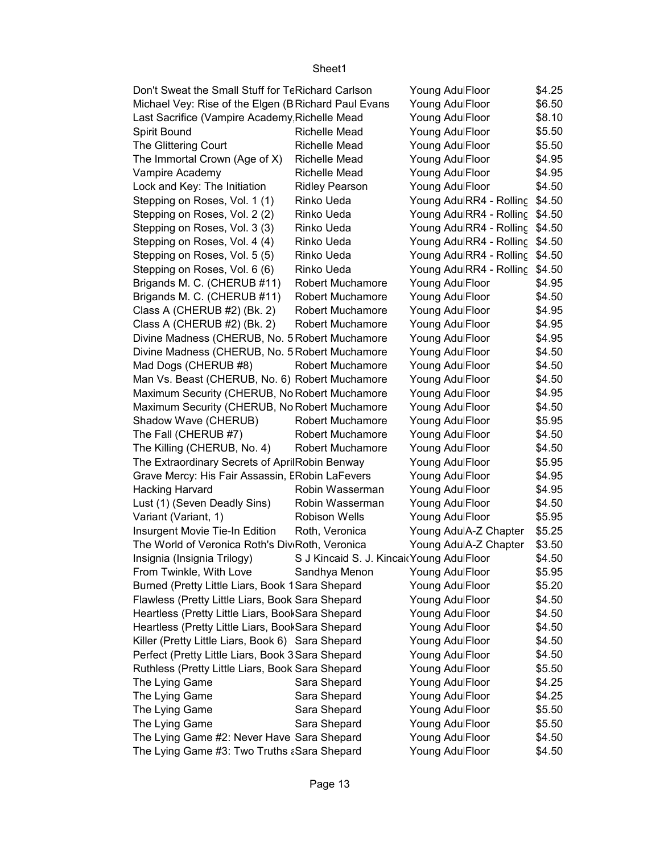| Don't Sweat the Small Stuff for TeRichard Carlson                                                     |                                          | Young AdulFloor                | \$4.25 |
|-------------------------------------------------------------------------------------------------------|------------------------------------------|--------------------------------|--------|
| Michael Vey: Rise of the Elgen (B Richard Paul Evans<br>Last Sacrifice (Vampire Academy Richelle Mead |                                          | Young AdulFloor                | \$6.50 |
|                                                                                                       |                                          | Young AdulFloor                | \$8.10 |
| Spirit Bound                                                                                          | Richelle Mead                            | Young AdulFloor                | \$5.50 |
| The Glittering Court                                                                                  | <b>Richelle Mead</b>                     | Young AdulFloor                | \$5.50 |
| The Immortal Crown (Age of X)                                                                         | Richelle Mead                            | Young AdulFloor                | \$4.95 |
| Vampire Academy                                                                                       | Richelle Mead                            | Young AdulFloor                | \$4.95 |
| Lock and Key: The Initiation                                                                          | <b>Ridley Pearson</b>                    | Young AdulFloor                | \$4.50 |
| Stepping on Roses, Vol. 1 (1)                                                                         | Rinko Ueda                               | Young AdulRR4 - Rolling        | \$4.50 |
| Stepping on Roses, Vol. 2 (2)                                                                         | Rinko Ueda                               | Young AdulRR4 - Rolling \$4.50 |        |
| Stepping on Roses, Vol. 3 (3)                                                                         | Rinko Ueda                               | Young AdulRR4 - Rolling \$4.50 |        |
| Stepping on Roses, Vol. 4 (4)                                                                         | Rinko Ueda                               | Young AdulRR4 - Rolling \$4.50 |        |
| Stepping on Roses, Vol. 5 (5)                                                                         | Rinko Ueda                               | Young AdulRR4 - Rolling        | \$4.50 |
| Stepping on Roses, Vol. 6 (6)                                                                         | Rinko Ueda                               | Young AdulRR4 - Rolling        | \$4.50 |
| Brigands M. C. (CHERUB #11)                                                                           | Robert Muchamore                         | Young AdulFloor                | \$4.95 |
| Brigands M. C. (CHERUB #11)                                                                           | <b>Robert Muchamore</b>                  | Young AdulFloor                | \$4.50 |
| Class A (CHERUB #2) (Bk. 2)                                                                           | Robert Muchamore                         | Young AdulFloor                | \$4.95 |
| Class A (CHERUB #2) (Bk. 2)                                                                           | Robert Muchamore                         | Young AdulFloor                | \$4.95 |
| Divine Madness (CHERUB, No. 5 Robert Muchamore                                                        |                                          | Young AdulFloor                | \$4.95 |
| Divine Madness (CHERUB, No. 5 Robert Muchamore                                                        |                                          | Young AdulFloor                | \$4.50 |
| Mad Dogs (CHERUB #8)                                                                                  | Robert Muchamore                         | Young AdulFloor                | \$4.50 |
| Man Vs. Beast (CHERUB, No. 6) Robert Muchamore                                                        |                                          | Young AdulFloor                | \$4.50 |
| Maximum Security (CHERUB, No Robert Muchamore                                                         |                                          | Young AdulFloor                | \$4.95 |
| Maximum Security (CHERUB, No Robert Muchamore                                                         |                                          | Young AdulFloor                | \$4.50 |
| Shadow Wave (CHERUB)                                                                                  | <b>Robert Muchamore</b>                  | Young AdulFloor                | \$5.95 |
| The Fall (CHERUB #7)                                                                                  | <b>Robert Muchamore</b>                  | Young AdulFloor                | \$4.50 |
| The Killing (CHERUB, No. 4)                                                                           | <b>Robert Muchamore</b>                  | Young AdulFloor                | \$4.50 |
| The Extraordinary Secrets of AprilRobin Benway                                                        |                                          | Young AdulFloor                | \$5.95 |
| Grave Mercy: His Fair Assassin, ERobin LaFevers                                                       |                                          | Young AdulFloor                | \$4.95 |
| Hacking Harvard                                                                                       | Robin Wasserman                          | Young AdulFloor                | \$4.95 |
| Lust (1) (Seven Deadly Sins)                                                                          | Robin Wasserman                          | Young AdulFloor                | \$4.50 |
| Variant (Variant, 1)                                                                                  | <b>Robison Wells</b>                     | Young AdulFloor                | \$5.95 |
| Insurgent Movie Tie-In Edition                                                                        | Roth, Veronica                           | Young AdulA-Z Chapter          | \$5.25 |
| The World of Veronica Roth's Div Roth, Veronica                                                       |                                          | Young AdulA-Z Chapter          | \$3.50 |
| Insignia (Insignia Trilogy)                                                                           | S J Kincaid S. J. Kincai Young AdulFloor |                                | \$4.50 |
| From Twinkle, With Love                                                                               | Sandhya Menon                            | Young AdulFloor                | \$5.95 |
| Burned (Pretty Little Liars, Book 1 Sara Shepard                                                      |                                          | Young AdulFloor                | \$5.20 |
| Flawless (Pretty Little Liars, Book Sara Shepard                                                      |                                          | Young AdulFloor                | \$4.50 |
| Heartless (Pretty Little Liars, BookSara Shepard                                                      |                                          | Young AdulFloor                | \$4.50 |
| Heartless (Pretty Little Liars, BookSara Shepard                                                      |                                          | Young AdulFloor                | \$4.50 |
| Killer (Pretty Little Liars, Book 6) Sara Shepard                                                     |                                          | Young AdulFloor                | \$4.50 |
| Perfect (Pretty Little Liars, Book 3 Sara Shepard                                                     |                                          | Young AdulFloor                | \$4.50 |
| Ruthless (Pretty Little Liars, Book Sara Shepard                                                      |                                          | Young AdulFloor                | \$5.50 |
| The Lying Game                                                                                        | Sara Shepard                             | Young AdulFloor                | \$4.25 |
| The Lying Game                                                                                        | Sara Shepard                             | Young AdulFloor                | \$4.25 |
| The Lying Game                                                                                        | Sara Shepard                             | Young AdulFloor                | \$5.50 |
|                                                                                                       | Sara Shepard                             | Young AdulFloor                | \$5.50 |
| The Lying Game                                                                                        |                                          |                                |        |
| The Lying Game #2: Never Have Sara Shepard                                                            |                                          | Young AdulFloor                | \$4.50 |
| The Lying Game #3: Two Truths aSara Shepard                                                           |                                          | Young AdulFloor                | \$4.50 |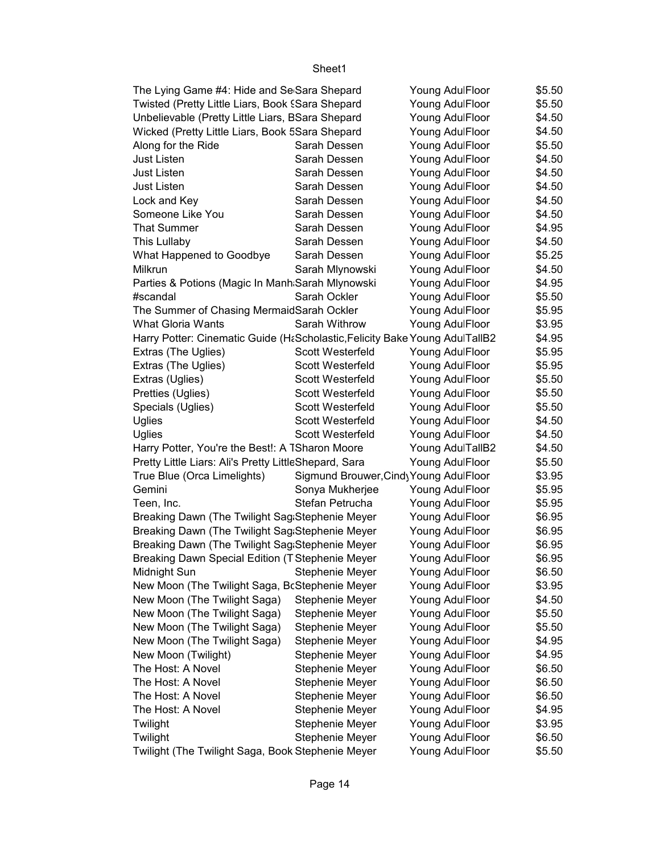| The Lying Game #4: Hide and Se Sara Shepard                                 |                                        | Young AdulFloor  | \$5.50 |
|-----------------------------------------------------------------------------|----------------------------------------|------------------|--------|
| Twisted (Pretty Little Liars, Book § Sara Shepard                           |                                        | Young AdulFloor  | \$5.50 |
| Unbelievable (Pretty Little Liars, BSara Shepard                            |                                        | Young AdulFloor  | \$4.50 |
| Wicked (Pretty Little Liars, Book 5Sara Shepard                             |                                        | Young AdulFloor  | \$4.50 |
| Along for the Ride                                                          | Sarah Dessen                           | Young AdulFloor  | \$5.50 |
| <b>Just Listen</b>                                                          | Sarah Dessen                           | Young AdulFloor  | \$4.50 |
| <b>Just Listen</b>                                                          | Sarah Dessen                           | Young AdulFloor  | \$4.50 |
| <b>Just Listen</b>                                                          | Sarah Dessen                           | Young AdulFloor  | \$4.50 |
| Lock and Key                                                                | Sarah Dessen                           | Young AdulFloor  | \$4.50 |
| Someone Like You                                                            | Sarah Dessen                           | Young AdulFloor  | \$4.50 |
| <b>That Summer</b>                                                          | Sarah Dessen                           | Young AdulFloor  | \$4.95 |
| This Lullaby                                                                | Sarah Dessen                           | Young AdulFloor  | \$4.50 |
| What Happened to Goodbye                                                    | Sarah Dessen                           | Young AdulFloor  | \$5.25 |
| Milkrun                                                                     | Sarah Mlynowski                        | Young AdulFloor  | \$4.50 |
| Parties & Potions (Magic In Manh Sarah Mlynowski                            |                                        | Young AdulFloor  | \$4.95 |
| #scandal                                                                    | Sarah Ockler                           | Young AdulFloor  | \$5.50 |
| The Summer of Chasing MermaidSarah Ockler                                   |                                        | Young AdulFloor  | \$5.95 |
| <b>What Gloria Wants</b>                                                    | Sarah Withrow                          | Young AdulFloor  | \$3.95 |
| Harry Potter: Cinematic Guide (H&Scholastic, Felicity Bake Young AdulTallB2 |                                        |                  | \$4.95 |
| Extras (The Uglies)                                                         | <b>Scott Westerfeld</b>                | Young AdulFloor  | \$5.95 |
| Extras (The Uglies)                                                         | <b>Scott Westerfeld</b>                | Young AdulFloor  | \$5.95 |
| Extras (Uglies)                                                             | Scott Westerfeld                       | Young AdulFloor  | \$5.50 |
| Pretties (Uglies)                                                           | <b>Scott Westerfeld</b>                | Young AdulFloor  | \$5.50 |
| Specials (Uglies)                                                           | Scott Westerfeld                       | Young AdulFloor  | \$5.50 |
| Uglies                                                                      | <b>Scott Westerfeld</b>                | Young AdulFloor  | \$4.50 |
| Uglies                                                                      | <b>Scott Westerfeld</b>                | Young AdulFloor  | \$4.50 |
| Harry Potter, You're the Best!: A TSharon Moore                             |                                        | Young AdulTallB2 | \$4.50 |
| Pretty Little Liars: Ali's Pretty LittleShepard, Sara                       |                                        | Young AdulFloor  | \$5.50 |
| True Blue (Orca Limelights)                                                 | Sigmund Brouwer, Cindy Young AdulFloor |                  | \$3.95 |
| Gemini                                                                      | Sonya Mukherjee                        | Young AdulFloor  | \$5.95 |
| Teen, Inc.                                                                  | Stefan Petrucha                        | Young AdulFloor  | \$5.95 |
| Breaking Dawn (The Twilight Sag Stephenie Meyer                             |                                        | Young AdulFloor  | \$6.95 |
| Breaking Dawn (The Twilight Sag Stephenie Meyer                             |                                        | Young AdulFloor  | \$6.95 |
| Breaking Dawn (The Twilight Sag Stephenie Meyer                             |                                        | Young AdulFloor  | \$6.95 |
| Breaking Dawn Special Edition (T Stephenie Meyer                            |                                        | Young AdulFloor  | \$6.95 |
| Midnight Sun                                                                | Stephenie Meyer                        | Young AdulFloor  | \$6.50 |
| New Moon (The Twilight Saga, BcStephenie Meyer                              |                                        | Young AdulFloor  | \$3.95 |
| New Moon (The Twilight Saga)                                                | <b>Stephenie Meyer</b>                 | Young AdulFloor  | \$4.50 |
| New Moon (The Twilight Saga)                                                | Stephenie Meyer                        | Young AdulFloor  | \$5.50 |
| New Moon (The Twilight Saga)                                                | Stephenie Meyer                        | Young AdulFloor  | \$5.50 |
| New Moon (The Twilight Saga)                                                | Stephenie Meyer                        | Young AdulFloor  | \$4.95 |
| New Moon (Twilight)                                                         | Stephenie Meyer                        | Young AdulFloor  | \$4.95 |
| The Host: A Novel                                                           | Stephenie Meyer                        | Young AdulFloor  | \$6.50 |
| The Host: A Novel                                                           | Stephenie Meyer                        | Young AdulFloor  | \$6.50 |
| The Host: A Novel                                                           | Stephenie Meyer                        | Young AdulFloor  | \$6.50 |
| The Host: A Novel                                                           | Stephenie Meyer                        | Young AdulFloor  | \$4.95 |
| Twilight                                                                    | Stephenie Meyer                        | Young AdulFloor  | \$3.95 |
| Twilight                                                                    | Stephenie Meyer                        | Young AdulFloor  | \$6.50 |
| Twilight (The Twilight Saga, Book Stephenie Meyer                           |                                        | Young AdulFloor  | \$5.50 |
|                                                                             |                                        |                  |        |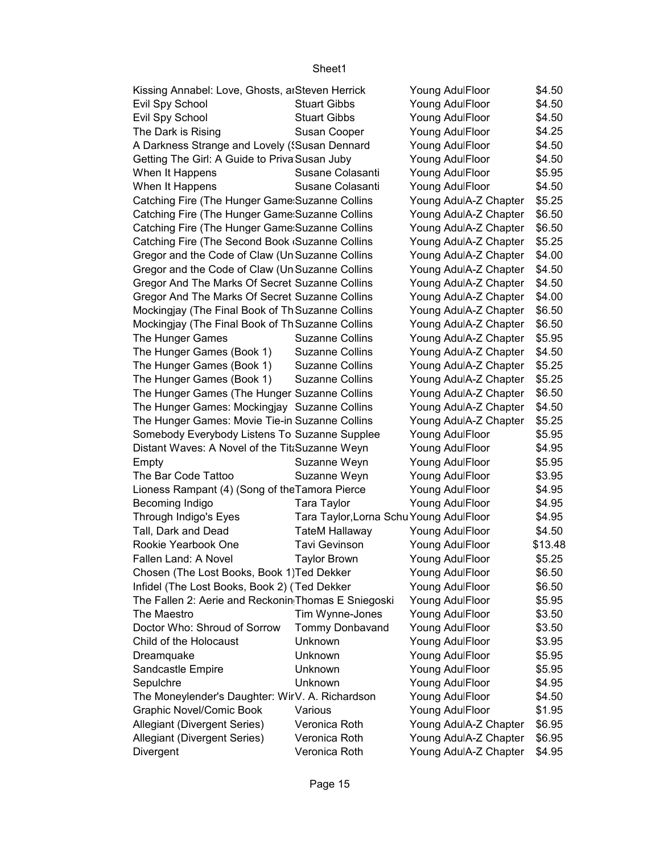| Kissing Annabel: Love, Ghosts, arSteven Herrick     |                                         | Young AdulFloor       | \$4.50  |
|-----------------------------------------------------|-----------------------------------------|-----------------------|---------|
| Evil Spy School                                     | <b>Stuart Gibbs</b>                     | Young AdulFloor       | \$4.50  |
| Evil Spy School                                     | <b>Stuart Gibbs</b>                     | Young AdulFloor       | \$4.50  |
| The Dark is Rising                                  | Susan Cooper                            | Young AdulFloor       | \$4.25  |
| A Darkness Strange and Lovely ('Susan Dennard       |                                         | Young AdulFloor       | \$4.50  |
| Getting The Girl: A Guide to Priva Susan Juby       |                                         | Young AdulFloor       | \$4.50  |
| When It Happens                                     | Susane Colasanti                        | Young AdulFloor       | \$5.95  |
| When It Happens                                     | Susane Colasanti                        | Young AdulFloor       | \$4.50  |
| Catching Fire (The Hunger Game Suzanne Collins      |                                         | Young AdulA-Z Chapter | \$5.25  |
| Catching Fire (The Hunger Game Suzanne Collins      |                                         | Young AdulA-Z Chapter | \$6.50  |
| Catching Fire (The Hunger Game Suzanne Collins      |                                         | Young AdulA-Z Chapter | \$6.50  |
| Catching Fire (The Second Book Guzanne Collins      |                                         | Young AdulA-Z Chapter | \$5.25  |
| Gregor and the Code of Claw (Un Suzanne Collins     |                                         | Young AdulA-Z Chapter | \$4.00  |
| Gregor and the Code of Claw (Un Suzanne Collins     |                                         | Young AdulA-Z Chapter | \$4.50  |
| Gregor And The Marks Of Secret Suzanne Collins      |                                         | Young AdulA-Z Chapter | \$4.50  |
| Gregor And The Marks Of Secret Suzanne Collins      |                                         | Young AdulA-Z Chapter | \$4.00  |
| Mockingjay (The Final Book of Th Suzanne Collins    |                                         | Young AdulA-Z Chapter | \$6.50  |
| Mockingjay (The Final Book of Th Suzanne Collins    |                                         | Young AdulA-Z Chapter | \$6.50  |
| The Hunger Games                                    | <b>Suzanne Collins</b>                  | Young AdulA-Z Chapter | \$5.95  |
| The Hunger Games (Book 1)                           | <b>Suzanne Collins</b>                  | Young AdulA-Z Chapter | \$4.50  |
| The Hunger Games (Book 1)                           | <b>Suzanne Collins</b>                  | Young AdulA-Z Chapter | \$5.25  |
|                                                     | <b>Suzanne Collins</b>                  |                       | \$5.25  |
| The Hunger Games (Book 1)                           |                                         | Young AdulA-Z Chapter | \$6.50  |
| The Hunger Games (The Hunger Suzanne Collins        |                                         | Young AdulA-Z Chapter |         |
| The Hunger Games: Mockingjay Suzanne Collins        |                                         | Young AdulA-Z Chapter | \$4.50  |
| The Hunger Games: Movie Tie-in Suzanne Collins      |                                         | Young AdulA-Z Chapter | \$5.25  |
| Somebody Everybody Listens To Suzanne Supplee       |                                         | Young AdulFloor       | \$5.95  |
| Distant Waves: A Novel of the Tit:Suzanne Weyn      |                                         | Young AdulFloor       | \$4.95  |
| Empty                                               | Suzanne Weyn                            | Young AdulFloor       | \$5.95  |
| The Bar Code Tattoo                                 | Suzanne Weyn                            | Young AdulFloor       | \$3.95  |
| Lioness Rampant (4) (Song of the Tamora Pierce      |                                         | Young AdulFloor       | \$4.95  |
| Becoming Indigo                                     | Tara Taylor                             | Young AdulFloor       | \$4.95  |
| Through Indigo's Eyes                               | Tara Taylor, Lorna Schu Young AdulFloor |                       | \$4.95  |
| Tall, Dark and Dead                                 | <b>TateM Hallaway</b>                   | Young AdulFloor       | \$4.50  |
| Rookie Yearbook One                                 | <b>Tavi Gevinson</b>                    | Young AdulFloor       | \$13.48 |
| Fallen Land: A Novel                                | <b>Taylor Brown</b>                     | Young AdulFloor       | \$5.25  |
| Chosen (The Lost Books, Book 1) Ted Dekker          |                                         | Young AdulFloor       | \$6.50  |
| Infidel (The Lost Books, Book 2) (Ted Dekker        |                                         | Young AdulFloor       | \$6.50  |
| The Fallen 2: Aerie and Reckonin Thomas E Sniegoski |                                         | Young AdulFloor       | \$5.95  |
| The Maestro                                         | Tim Wynne-Jones                         | Young AdulFloor       | \$3.50  |
| Doctor Who: Shroud of Sorrow                        | <b>Tommy Donbavand</b>                  | Young AdulFloor       | \$3.50  |
| Child of the Holocaust                              | Unknown                                 | Young AdulFloor       | \$3.95  |
| Dreamquake                                          | Unknown                                 | Young AdulFloor       | \$5.95  |
| Sandcastle Empire                                   | Unknown                                 | Young AdulFloor       | \$5.95  |
| Sepulchre                                           | Unknown                                 | Young AdulFloor       | \$4.95  |
| The Moneylender's Daughter: WirV. A. Richardson     |                                         | Young AdulFloor       | \$4.50  |
| Graphic Novel/Comic Book                            | Various                                 | Young AdulFloor       | \$1.95  |
| Allegiant (Divergent Series)                        | Veronica Roth                           | Young AdulA-Z Chapter | \$6.95  |
| Allegiant (Divergent Series)                        | Veronica Roth                           | Young AdulA-Z Chapter | \$6.95  |
| Divergent                                           | Veronica Roth                           | Young AdulA-Z Chapter | \$4.95  |